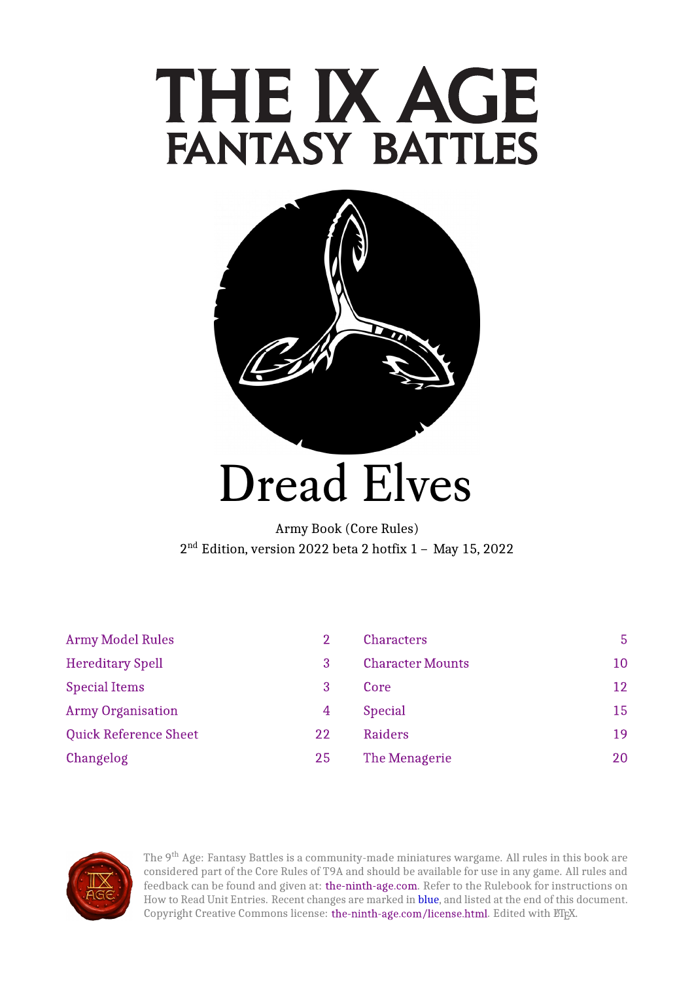# THE IX AGE **FANTASY BATTLES**



# Dread Elves

Army Book (Core Rules) 2<sup>nd</sup> Edition, version 2022 beta 2 hotfix 1 - Ma

| <b>Army Model Rules</b>      | 2  | <b>Characters</b>       | 5 <sup>1</sup> |
|------------------------------|----|-------------------------|----------------|
| <b>Hereditary Spell</b>      | 3  | <b>Character Mounts</b> | 10             |
| <b>Special Items</b>         | 3  | Core                    | 12             |
| <b>Army Organisation</b>     | 4  | <b>Special</b>          | 15             |
| <b>Quick Reference Sheet</b> | 22 | Raiders                 | 19             |
| Changelog                    | 25 | The Menagerie           | 20             |



The 9<sup>th</sup> Age: Fantasy Battles is a community-made miniatures wargame. All rules in this book are considered part of the Core Rules of T9A and should be available for use in any game. All rules and feedback can be found and given at: [the-ninth-age.com.](https://www.the-ninth-age.com/) Refer to the Rulebook for instructions on How to Read Unit Entries. Recent changes are marked in blue, and listed at the end of this document. Copyright Creative Commons license: [the-ninth-age.com/license.html.](https://www.the-ninth-age.com/license.html) Edited with ETEX.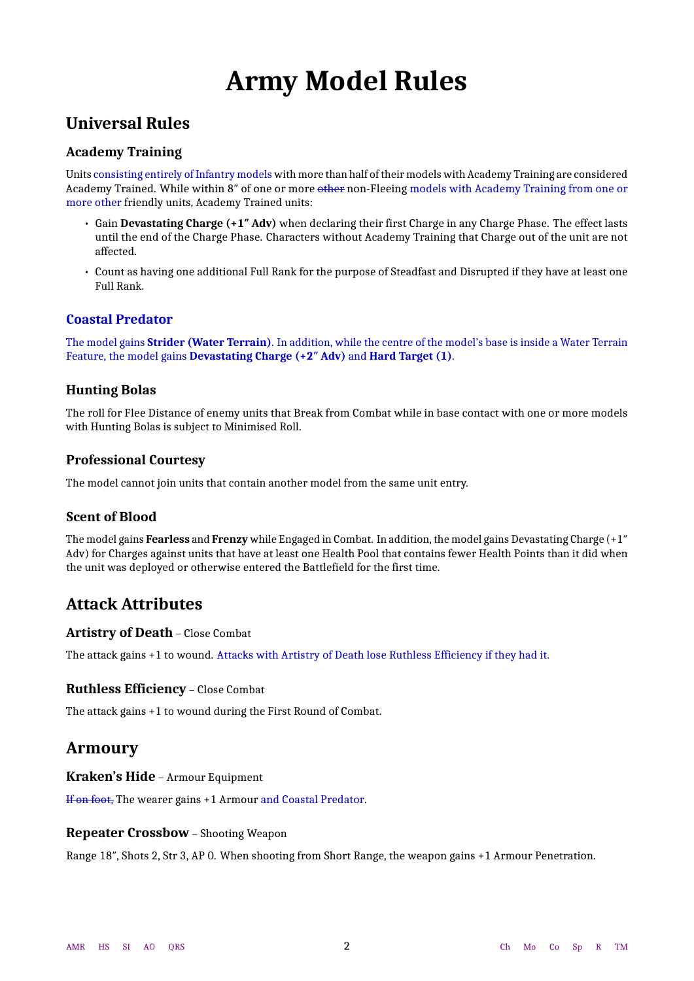# **Army Model Rules**

### <span id="page-1-0"></span>**Universal Rules**

### **Academy Training**

Units consisting entirely of Infantry models with more than half of their models with Academy Training are considered Academy Trained. While within 8" of one or more other non-Fleeing models with Academy Training from one or more other friendly units, Academy Trained units:

- Gain **Devastating Charge (+1″ Adv)** when declaring their first Charge in any Charge Phase. The effect lasts until the end of the Charge Phase. Characters without Academy Training that Charge out of the unit are not affected.
- Count as having one additional Full Rank for the purpose of Steadfast and Disrupted if they have at least one Full Rank.

### **Coastal Predator**

The model gains **Strider (Water Terrain)**. In addition, while the centre of the model's base is inside a Water Terrain Feature, the model gains **Devastating Charge (+2″ Adv)** and **Hard Target (1)**.

### **Hunting Bolas**

The roll for Flee Distance of enemy units that Break from Combat while in base contact with one or more models with Hunting Bolas is subject to Minimised Roll.

### **Professional Courtesy**

The model cannot join units that contain another model from the same unit entry.

### **Scent of Blood**

The model gains **Fearless** and **Frenzy** while Engaged in Combat. In addition, the model gains Devastating Charge (+1″ Adv) for Charges against units that have at least one Health Pool that contains fewer Health Points than it did when the unit was deployed or otherwise entered the Battlefield for the first time.

### **Attack Attributes**

### **Artistry of Death** – Close Combat

The attack gains +1 to wound. Attacks with Artistry of Death lose Ruthless Efficiency if they had it.

### **Ruthless Efficiency** – Close Combat

The attack gains +1 to wound during the First Round of Combat.

### **Armoury**

**Kraken's Hide** – Armour Equipment

If on foot, The wearer gains +1 Armour and Coastal Predator.

### **Repeater Crossbow** – Shooting Weapon

Range 18″, Shots 2, Str 3, AP 0. When shooting from Short Range, the weapon gains +1 Armour Penetration.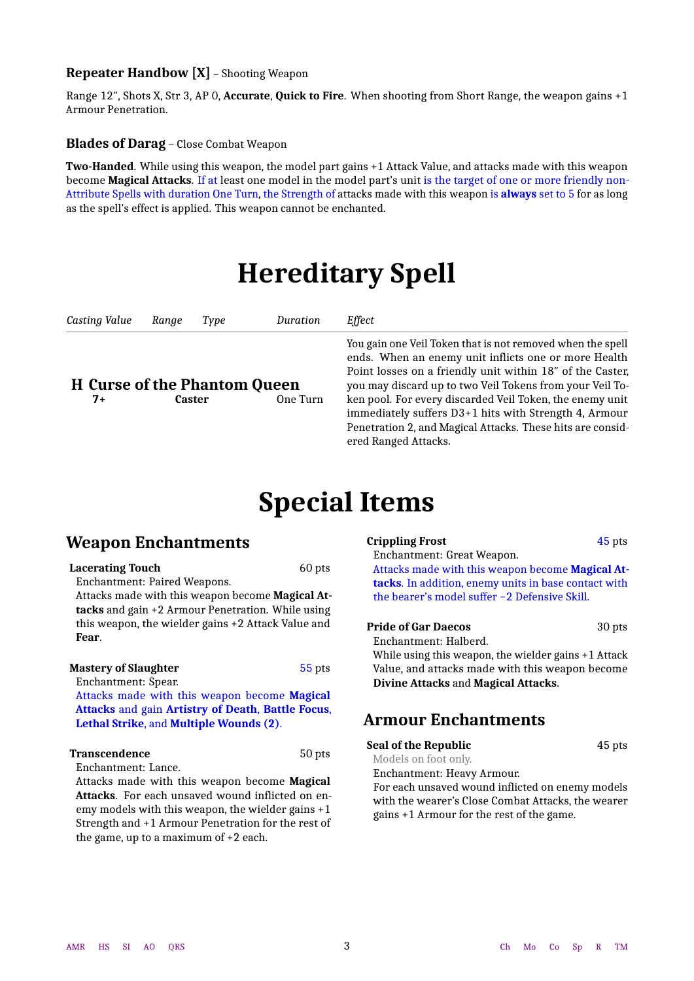### **Repeater Handbow [X]** – Shooting Weapon

Range 12″, Shots X, Str 3, AP 0, **Accurate**, **Quick to Fire**. When shooting from Short Range, the weapon gains +1 Armour Penetration.

**Blades of Darag** – Close Combat Weapon

<span id="page-2-0"></span>**Two-Handed**. While using this weapon, the model part gains +1 Attack Value, and attacks made with this weapon become **Magical Attacks**. If at least one model in the model part's unit is the target of one or more friendly non-Attribute Spells with duration One Turn, the Strength of attacks made with this weapon is **always** set to 5 for as long as the spell's effect is applied. This weapon cannot be enchanted.

# **Hereditary Spell**

<span id="page-2-1"></span>*Casting Value Range Type Duration Effect*

### **H Curse of the Phantom Queen**

You gain one Veil Token that is not removed when the spell ends. When an enemy unit inflicts one or more Health Point losses on a friendly unit within 18″ of the Caster, you may discard up to two Veil Tokens from your Veil Token pool. For every discarded Veil Token, the enemy unit immediately suffers D3+1 hits with Strength 4, Armour Penetration 2, and Magical Attacks. These hits are considered Ranged Attacks.

# **Special Items**

### <span id="page-2-3"></span><span id="page-2-2"></span>**Weapon Enchantments**

| <b>Lacerating Touch</b>                            | 60 pts |
|----------------------------------------------------|--------|
| Enchantment: Paired Weapons.                       |        |
| Attacks made with this weapon become Magical At-   |        |
| tacks and gain +2 Armour Penetration. While using  |        |
| this weapon, the wielder gains +2 Attack Value and |        |
| Fear.                                              |        |
|                                                    |        |
| <b>Mastery of Slaughter</b>                        | 55 pts |

Enchantment: Spear. Attacks made with this weapon become **Magical Attacks** and gain **Artistry of Death**, **Battle Focus**, **Lethal Strike**, and **Multiple Wounds (2)**.

#### **Transcendence** 50 pts

Enchantment: Lance.

Attacks made with this weapon become **Magical Attacks**. For each unsaved wound inflicted on enemy models with this weapon, the wielder gains +1 Strength and +1 Armour Penetration for the rest of the game, up to a maximum of +2 each.

### **Crippling Frost** 45 pts

Enchantment: Great Weapon.

Attacks made with this weapon become **Magical Attacks**. In addition, enemy units in base contact with the bearer's model suffer −2 Defensive Skill.

#### **Pride of Gar Daecos** 30 pts

Enchantment: Halberd.

While using this weapon, the wielder gains +1 Attack Value, and attacks made with this weapon become **Divine Attacks** and **Magical Attacks**.

### **Armour Enchantments**

**Seal of the Republic** 45 pts

Models on foot only.

Enchantment: Heavy Armour.

For each unsaved wound inflicted on enemy models with the wearer's Close Combat Attacks, the wearer gains +1 Armour for the rest of the game.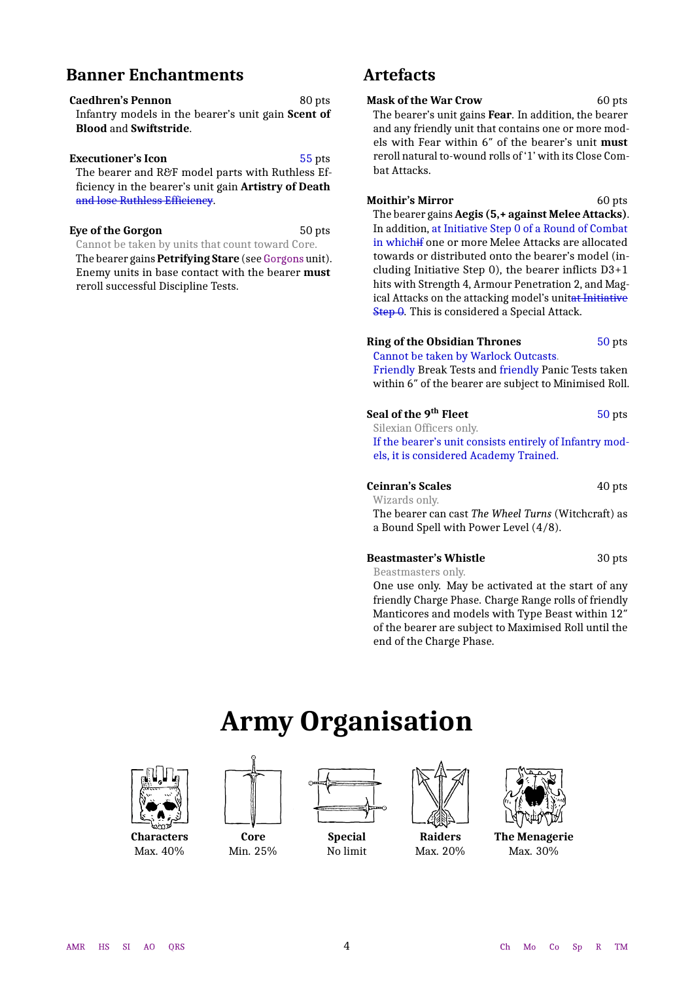### **Banner Enchantments**

**Caedhren's Pennon** 80 pts Infantry models in the bearer's unit gain **Scent of Blood** and **Swiftstride**.

#### **Executioner's Icon** 55 pts

The bearer and R&F model parts with Ruthless Efficiency in the bearer's unit gain **Artistry of Death** and lose Ruthless Efficiency.

#### **Eye of the Gorgon** 50 pts

Cannot be taken by units that count toward Core.

The bearer gains **Petrifying Stare** (see [Gorgons](#page-16-0) unit). Enemy units in base contact with the bearer **must** reroll successful Discipline Tests.

### **Artefacts**

**Mask of the War Crow** 60 pts The bearer's unit gains **Fear**. In addition, the bearer and any friendly unit that contains one or more models with Fear within 6″ of the bearer's unit **must** reroll natural to-wound rolls of '1' with its Close Combat Attacks.

**Moithir's Mirror** 60 pts The bearer gains **Aegis (5,+ against Melee Attacks)**. In addition, at Initiative Step 0 of a Round of Combat in whichif one or more Melee Attacks are allocated towards or distributed onto the bearer's model (including Initiative Step 0), the bearer inflicts D3+1 hits with Strength 4, Armour Penetration 2, and Magical Attacks on the attacking model's unitat Initiative Step 0. This is considered a Special Attack.

### **Ring of the Obsidian Thrones** 50 pts

Cannot be taken by Warlock Outcasts.

Friendly Break Tests and friendly Panic Tests taken within 6″ of the bearer are subject to Minimised Roll.

#### **Seal of the 9<sup>th</sup> Fleet** 50 pts

Silexian Officers only. If the bearer's unit consists entirely of Infantry models, it is considered Academy Trained.

#### **Ceinran's Scales** 40 pts

Wizards only. The bearer can cast *The Wheel Turns* (Witchcraft) as a Bound Spell with Power Level (4/8).

#### **Beastmaster's Whistle** 30 pts

Beastmasters only.

One use only. May be activated at the start of any friendly Charge Phase. Charge Range rolls of friendly Manticores and models with Type Beast within 12″ of the bearer are subject to Maximised Roll until the end of the Charge Phase.

# **Army Organisation**

<span id="page-3-1"></span><span id="page-3-0"></span>

**Characters** Max. 40%



**Special** No limit

**Core** Min. 25%



**Raiders** Max. 20%



**The Menagerie** Max. 30%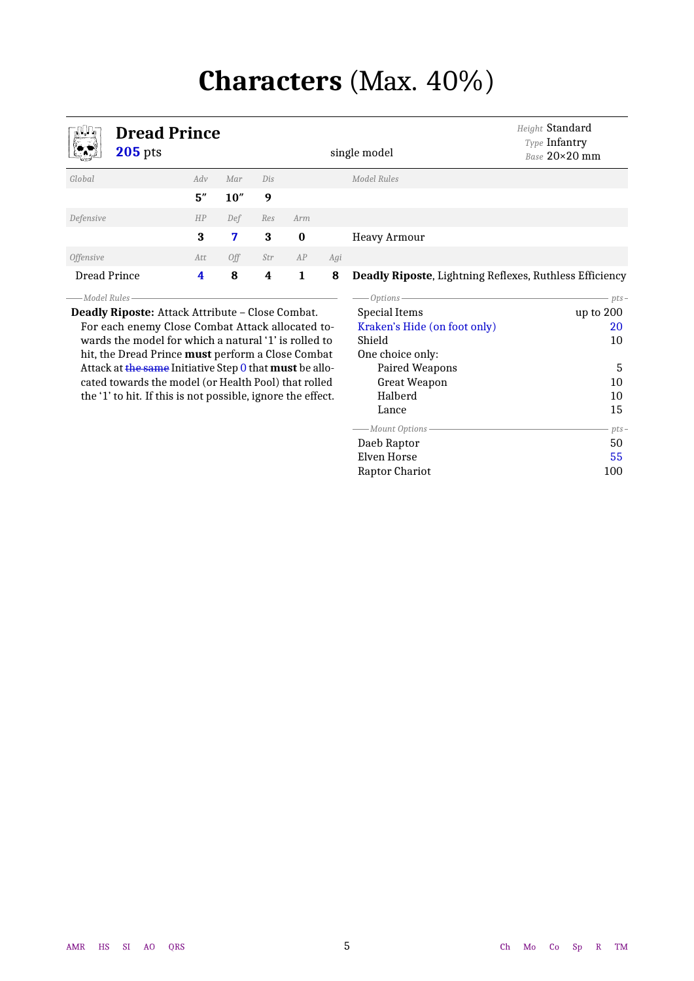# **Characters** (Max. 40%)

<span id="page-4-1"></span><span id="page-4-0"></span>

*Height* Standard

**Dread Prince** single model *Type* Infantry *Base* 20×20 mm *Global Adv Mar Dis Model Rules* **5″ 10″ 9** *Defensive HP Def Res Arm* **3 7 3 0** Heavy Armour *Offensive Att Off Str AP Agi* Dread Prince **4 8 4 1 8 Deadly Riposte**, Lightning Reflexes, Ruthless Efficiency *Model Rules*

**Deadly Riposte:** Attack Attribute – Close Combat. For each enemy Close Combat Attack allocated towards the model for which a natural '1' is rolled to hit, the Dread Prince **must** perform a Close Combat Attack at the same Initiative Step 0 that **must** be allocated towards the model (or Health Pool) that rolled the '1' to hit. If this is not possible, ignore the effect.

| Options -                    | $pts-$    |
|------------------------------|-----------|
| Special Items                | up to 200 |
| Kraken's Hide (on foot only) | 20        |
| Shield                       | 10        |
| One choice only:             |           |
| Paired Weapons               | 5         |
| Great Weapon                 | 10        |
| Halberd                      | 10        |
| Lance                        | 15        |
| -Mount Options -             | $pts-$    |
| Daeb Raptor                  | 50        |
| Elven Horse                  | 55        |
| Raptor Chariot               | 100       |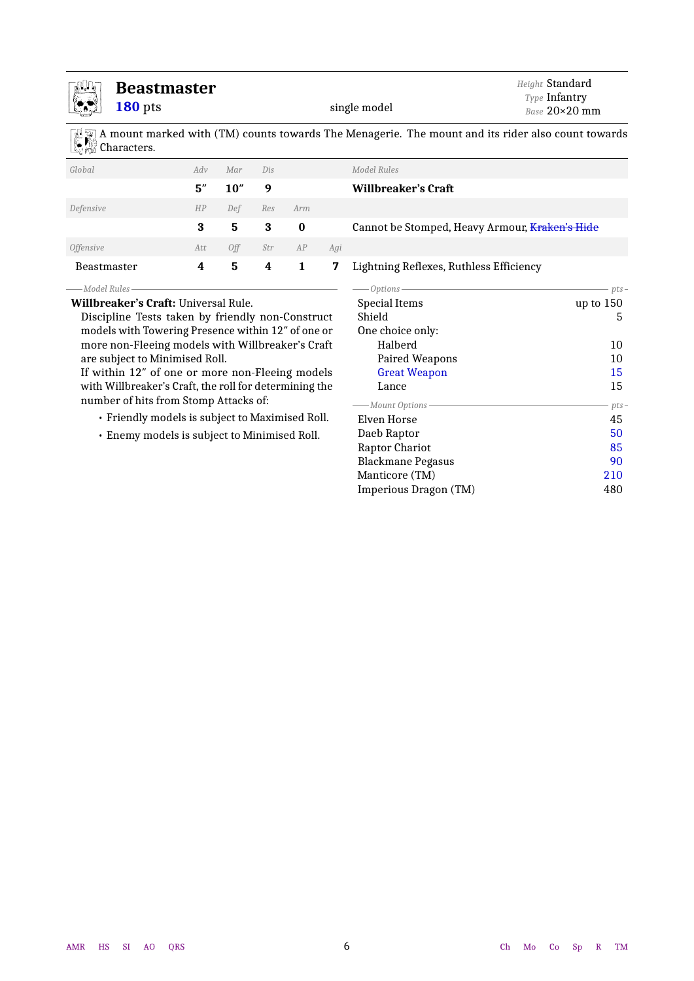<span id="page-5-0"></span>

### **Beastmaster**

**180** pts single model

A mount marked with (TM) counts towards The Menagerie. The mount and its rider also count towards Characters.

| Global                  | Adv | Mar  | Dis |                |     | Model Rules                                    |                      |
|-------------------------|-----|------|-----|----------------|-----|------------------------------------------------|----------------------|
|                         | 5'' | 10'' | 9   |                |     | Willbreaker's Craft                            |                      |
| Defensive               | HP  | Def  | Res | Arm            |     |                                                |                      |
|                         | 3   | 5    | 3   | $\bf{0}$       |     | Cannot be Stomped, Heavy Armour, Kraken's Hide |                      |
| <i><b>Offensive</b></i> | Att | 0ff  | Str | AP             | Agi |                                                |                      |
| Beastmaster             | 4   | 5    | 4   | $\blacksquare$ | 7   | Lightning Reflexes, Ruthless Efficiency        |                      |
| ——Model Rules—          |     |      |     |                |     | Options —                                      | $pts-$               |
| $\frac{1}{2}$           |     |      |     |                |     | $\sim$ $\cdot$ $\cdot$ $\cdot$ $\cdot$         | $\sim$ $\sim$ $\sim$ |

**Willbreaker's Craft:** Universal Rule.

Discipline Tests taken by friendly non-Construct models with Towering Presence within 12″ of one or more non-Fleeing models with Willbreaker's Craft are subject to Minimised Roll.

If within 12″ of one or more non-Fleeing models with Willbreaker's Craft, the roll for determining the number of hits from Stomp Attacks of:

- Friendly models is subject to Maximised Roll.
- Enemy models is subject to Minimised Roll.

| - Options —              | $pts-$      |
|--------------------------|-------------|
| Special Items            | up to $150$ |
| Shield                   | 5           |
| One choice only:         |             |
| Halberd                  | 10          |
| Paired Weapons           | 10          |
| <b>Great Weapon</b>      | 15          |
| Lance                    | 15          |
| - Mount Options          | $pts-$      |
| Elven Horse              | 45          |
| Daeb Raptor              | 50          |
| Raptor Chariot           | 85          |
| <b>Blackmane Pegasus</b> | 90          |
| Manticore (TM)           | 210         |
| Imperious Dragon (TM)    | 480         |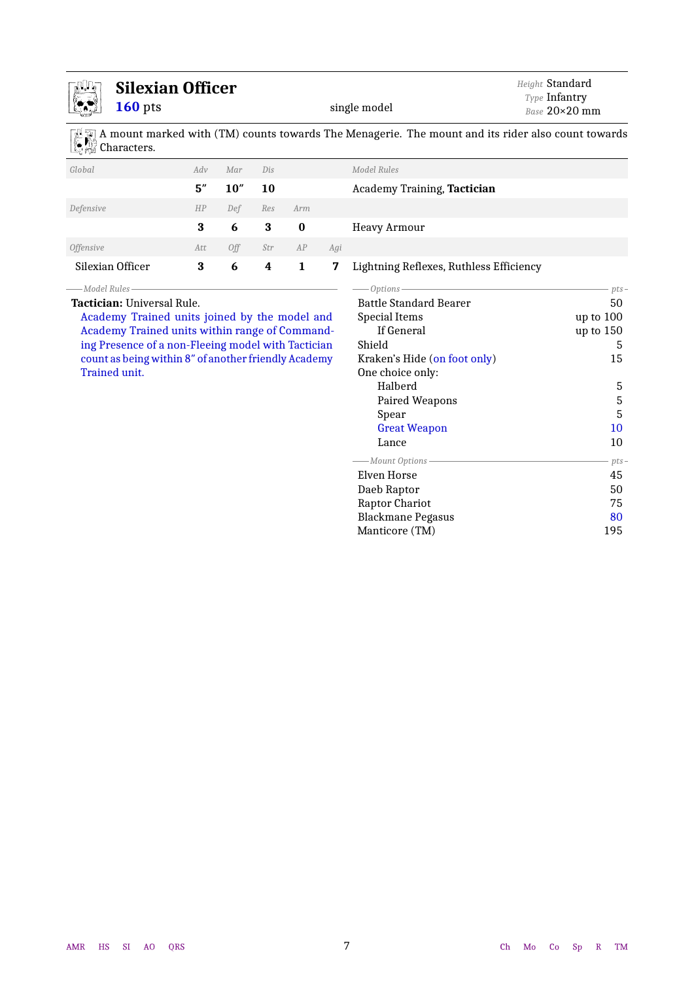<span id="page-6-0"></span>

| <b>Silexian Officer</b><br>$160$ pts                 |     |      |                  |              | single model | Height Standard<br>Type Infantry<br>Base 20×20 mm                                                 |           |
|------------------------------------------------------|-----|------|------------------|--------------|--------------|---------------------------------------------------------------------------------------------------|-----------|
| <b>W</b> Characters.                                 |     |      |                  |              |              | A mount marked with (TM) counts towards The Menagerie. The mount and its rider also count towards |           |
| Global                                               | Adv | Mar  | Dis              |              |              | Model Rules                                                                                       |           |
|                                                      | 5'' | 10'' | 10               |              |              | Academy Training, Tactician                                                                       |           |
| Defensive                                            | HP  | Def  | Res              | Arm          |              |                                                                                                   |           |
|                                                      | 3   | 6    | $\bf{3}$         | $\bf{0}$     |              | <b>Heavy Armour</b>                                                                               |           |
| <i><b>Offensive</b></i>                              | Att | Off  | Str              | AP           | Agi          |                                                                                                   |           |
| Silexian Officer                                     | 3   | 6    | $\boldsymbol{4}$ | $\mathbf{1}$ | 7            | Lightning Reflexes, Ruthless Efficiency                                                           |           |
| -Model Rules                                         |     |      |                  |              |              | Options-                                                                                          | pts-      |
| <b>Tactician: Universal Rule.</b>                    |     |      |                  |              |              | <b>Battle Standard Bearer</b>                                                                     | 50        |
| Academy Trained units joined by the model and        |     |      |                  |              |              | Special Items                                                                                     | up to 100 |
| Academy Trained units within range of Command-       |     |      |                  |              |              | If General                                                                                        | up to 150 |
| ing Presence of a non-Fleeing model with Tactician   |     |      |                  |              |              | Shield                                                                                            | 5         |
| count as being within 8" of another friendly Academy |     |      |                  |              |              | Kraken's Hide (on foot only)                                                                      | 15        |
| Trained unit.                                        |     |      |                  |              |              | One choice only:                                                                                  |           |
|                                                      |     |      |                  |              |              | Halberd                                                                                           | 5         |
|                                                      |     |      |                  |              |              | Paired Weapons                                                                                    | 5         |
|                                                      |     |      |                  |              |              | Spear                                                                                             | 5         |
|                                                      |     |      |                  |              |              | <b>Great Weapon</b>                                                                               | 10        |
|                                                      |     |      |                  |              |              | Lance                                                                                             | 10        |
|                                                      |     |      |                  |              |              | -Mount Options -                                                                                  | pts-      |
|                                                      |     |      |                  |              |              | <b>Elven Horse</b>                                                                                | 45        |
|                                                      |     |      |                  |              |              | Daeb Raptor                                                                                       | 50        |
|                                                      |     |      |                  |              |              | Raptor Chariot                                                                                    | 75        |
|                                                      |     |      |                  |              |              | <b>Blackmane Pegasus</b>                                                                          | 80        |
|                                                      |     |      |                  |              |              | Manticore (TM)                                                                                    | 195       |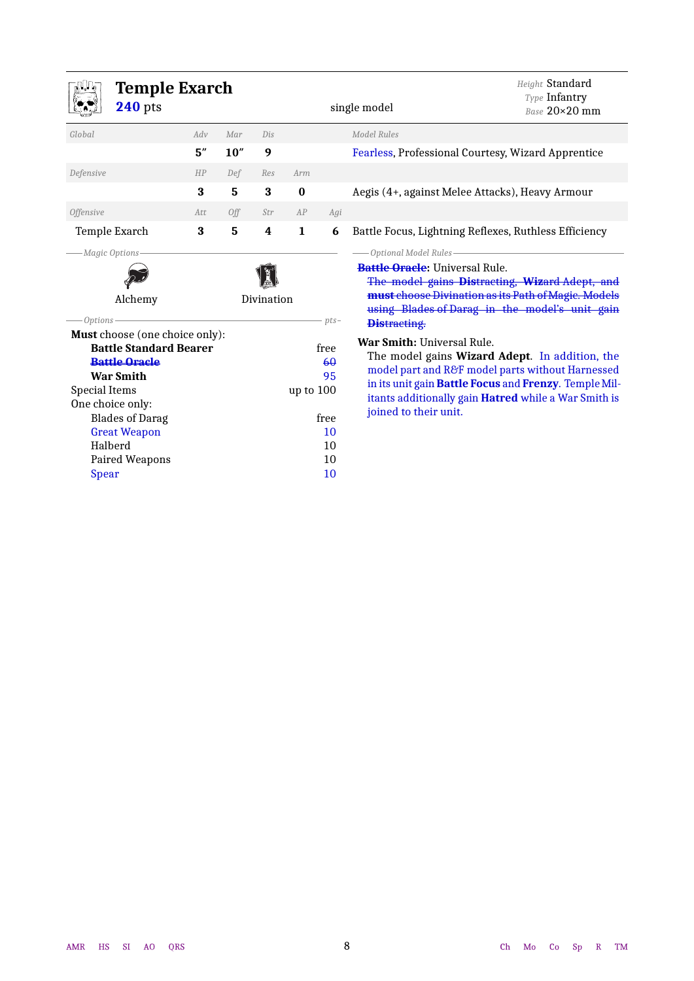<span id="page-7-0"></span>

| Temple Exarch<br><b>240</b> pts                                                                                                                                                                                                                       |            |      |     |              |                                                  | Height Standard<br>Type Infantry<br>single model<br>Base 20×20 mm                                                                                                                                                                                                          |  |  |
|-------------------------------------------------------------------------------------------------------------------------------------------------------------------------------------------------------------------------------------------------------|------------|------|-----|--------------|--------------------------------------------------|----------------------------------------------------------------------------------------------------------------------------------------------------------------------------------------------------------------------------------------------------------------------------|--|--|
| Global                                                                                                                                                                                                                                                | Adv        | Mar  | Dis |              |                                                  | Model Rules                                                                                                                                                                                                                                                                |  |  |
|                                                                                                                                                                                                                                                       | 5''        | 10'' | 9   |              |                                                  | Fearless, Professional Courtesy, Wizard Apprentice                                                                                                                                                                                                                         |  |  |
| Defensive                                                                                                                                                                                                                                             | HP         | Def  | Res | Arm          |                                                  |                                                                                                                                                                                                                                                                            |  |  |
|                                                                                                                                                                                                                                                       | 3          | 5    | 3   | $\bf{0}$     |                                                  | Aegis (4+, against Melee Attacks), Heavy Armour                                                                                                                                                                                                                            |  |  |
| <b>Offensive</b>                                                                                                                                                                                                                                      | Att        | Off  | Str | AP           | Agi                                              |                                                                                                                                                                                                                                                                            |  |  |
| Temple Exarch                                                                                                                                                                                                                                         | 3          | 5    | 4   | $\mathbf{1}$ | 6                                                | Battle Focus, Lightning Reflexes, Ruthless Efficiency                                                                                                                                                                                                                      |  |  |
| Magic Options<br>Alchemy<br>Options-                                                                                                                                                                                                                  | Divination |      |     |              | $pts-$                                           | Optional Model Rules-<br><b>Battle Oracle:</b> Universal Rule.<br>The model gains Distracting, Wizard Adept, and<br>must choose Divination as its Path of Magic. Models<br>using Blades of Darag in the model's unit gain<br><b>Distracting.</b>                           |  |  |
| Must choose (one choice only):<br><b>Battle Standard Bearer</b><br><b>Battle Oracle</b><br><b>War Smith</b><br><b>Special Items</b><br>One choice only:<br><b>Blades of Darag</b><br><b>Great Weapon</b><br>Halberd<br>Paired Weapons<br><b>Spear</b> |            |      |     | up to 100    | free<br>60<br>95<br>free<br>10<br>10<br>10<br>10 | War Smith: Universal Rule.<br>The model gains Wizard Adept. In addition, the<br>model part and R&F model parts without Harnessed<br>in its unit gain Battle Focus and Frenzy. Temple Mil-<br>itants additionally gain Hatred while a War Smith is<br>joined to their unit. |  |  |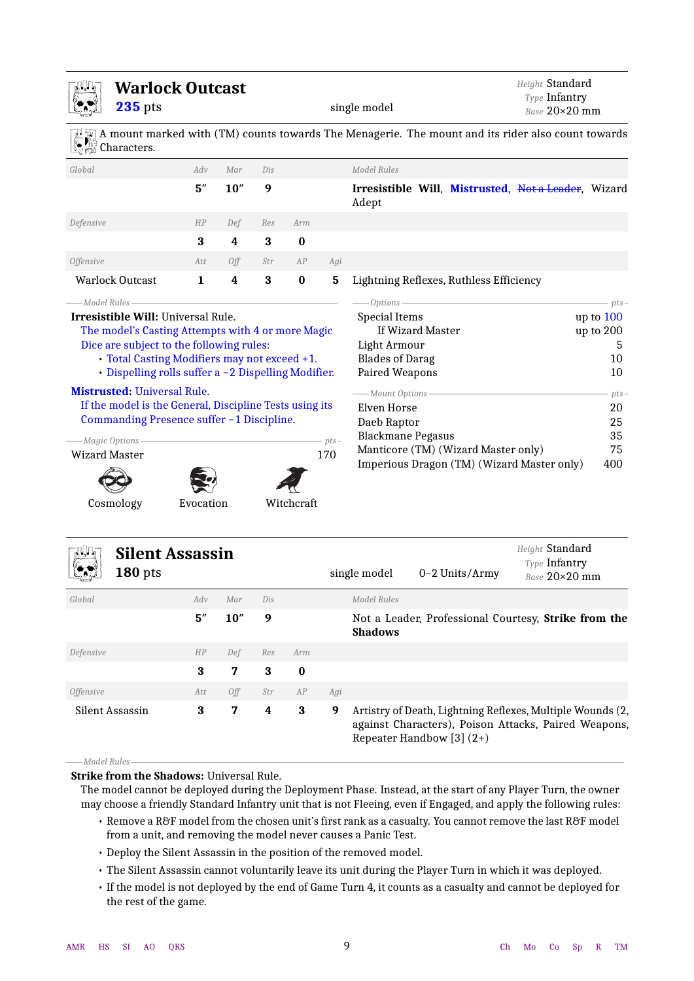<span id="page-8-1"></span>

|                                         | <b>Warlock Outcast</b><br><b>235</b> pts                                                                                                                                                                                                                                                      |             |                  |                  |                  |                | single model                                                                                                                                    | Height Standard<br>Type Infantry<br>Base 20×20 mm |
|-----------------------------------------|-----------------------------------------------------------------------------------------------------------------------------------------------------------------------------------------------------------------------------------------------------------------------------------------------|-------------|------------------|------------------|------------------|----------------|-------------------------------------------------------------------------------------------------------------------------------------------------|---------------------------------------------------|
|                                         | Characters.                                                                                                                                                                                                                                                                                   |             |                  |                  |                  |                | A mount marked with (TM) counts towards The Menagerie. The mount and its rider also count towards                                               |                                                   |
| Global                                  |                                                                                                                                                                                                                                                                                               | Adv         | Mar              | Dis              |                  |                | <b>Model Rules</b>                                                                                                                              |                                                   |
|                                         |                                                                                                                                                                                                                                                                                               | 5''         | 10''             | 9                |                  |                | Irresistible Will, Mistrusted, Not a Leader, Wizard<br>Adept                                                                                    |                                                   |
| Defensive                               |                                                                                                                                                                                                                                                                                               | HP          | Def              | Res              | Arm              |                |                                                                                                                                                 |                                                   |
|                                         |                                                                                                                                                                                                                                                                                               | 3           | 4                | 3                | $\bf{0}$         |                |                                                                                                                                                 |                                                   |
| <b>Offensive</b>                        |                                                                                                                                                                                                                                                                                               | Att         | Off              | Str              | AP               | Agi            |                                                                                                                                                 |                                                   |
| <b>Warlock Outcast</b>                  |                                                                                                                                                                                                                                                                                               | $\mathbf 1$ | $\boldsymbol{4}$ | 3                | $\bf{0}$         | 5              | Lightning Reflexes, Ruthless Efficiency                                                                                                         |                                                   |
|                                         | Dice are subject to the following rules:<br>• Total Casting Modifiers may not exceed +1.<br>· Dispelling rolls suffer a -2 Dispelling Modifier.<br><b>Mistrusted: Universal Rule.</b><br>If the model is the General, Discipline Tests using its<br>Commanding Presence suffer -1 Discipline. |             |                  |                  |                  |                | Light Armour<br><b>Blades of Darag</b><br>Paired Weapons<br>-Mount Options-<br>Elven Horse<br>Daeb Raptor<br><b>Blackmane Pegasus</b>           | 5<br>10<br>10<br>pts.<br>20<br>25<br>35           |
| -Magic Options-<br><b>Wizard Master</b> |                                                                                                                                                                                                                                                                                               |             |                  |                  |                  | $-pts-$<br>170 | Manticore (TM) (Wizard Master only)<br>Imperious Dragon (TM) (Wizard Master only)                                                               | 75<br>400                                         |
| Cosmology                               |                                                                                                                                                                                                                                                                                               | Evocation   |                  |                  | Witchcraft       |                |                                                                                                                                                 |                                                   |
|                                         | <b>Silent Assassin</b><br>$180$ pts                                                                                                                                                                                                                                                           |             |                  |                  |                  |                | single model<br>0-2 Units/Army                                                                                                                  | Height Standard<br>Type Infantry<br>Base 20×20 mm |
| Global                                  |                                                                                                                                                                                                                                                                                               | Adv         | Mar              | Dis              |                  |                | Model Rules                                                                                                                                     |                                                   |
|                                         |                                                                                                                                                                                                                                                                                               | 5''         | $10''$           | 9                |                  |                | Not a Leader, Professional Courtesy, Strike from the<br><b>Shadows</b>                                                                          |                                                   |
| Defensive                               |                                                                                                                                                                                                                                                                                               | HP          | Def              | Res              | Arm              |                |                                                                                                                                                 |                                                   |
|                                         |                                                                                                                                                                                                                                                                                               | 3           | 7                | $\bf{3}$         | $\boldsymbol{0}$ |                |                                                                                                                                                 |                                                   |
| Offensive                               |                                                                                                                                                                                                                                                                                               | Att         | Off              | Str              | AP               | Agi            |                                                                                                                                                 |                                                   |
| Silent Assassin                         |                                                                                                                                                                                                                                                                                               | $\bf{3}$    | 7                | $\boldsymbol{4}$ | $\bf{3}$         | 9              | Artistry of Death, Lightning Reflexes, Multiple Wounds (2,<br>against Characters), Poison Attacks, Paired Weapons,<br>Repeater Handbow [3] (2+) |                                                   |

### <span id="page-8-2"></span><span id="page-8-0"></span>*Model Rules* **Strike from the Shadows:** Universal Rule.

The model cannot be deployed during the Deployment Phase. Instead, at the start of any Player Turn, the owner may choose a friendly Standard Infantry unit that is not Fleeing, even if Engaged, and apply the following rules:

- Remove a R&F model from the chosen unit's first rank as a casualty. You cannot remove the last R&F model from a unit, and removing the model never causes a Panic Test.
- Deploy the Silent Assassin in the position of the removed model.
- The Silent Assassin cannot voluntarily leave its unit during the Player Turn in which it was deployed.
- If the model is not deployed by the end of Game Turn 4, it counts as a casualty and cannot be deployed for the rest of the game.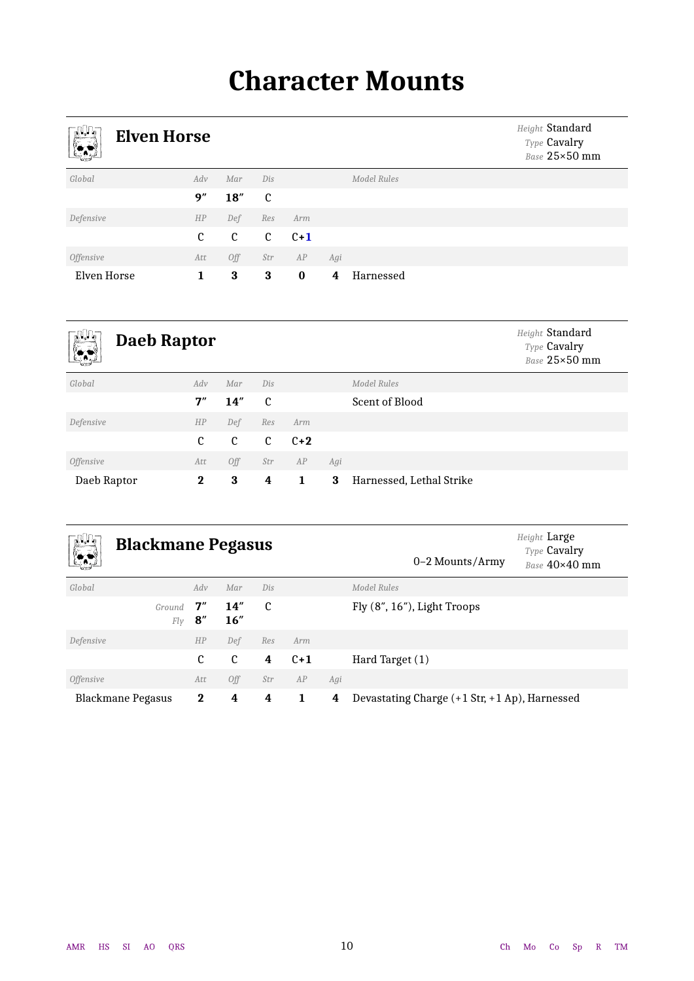# **Character Mounts**

<span id="page-9-1"></span><span id="page-9-0"></span>

| $\mathbb{R}^n$<br>r.    | <b>Elven Horse</b> |                |                |          |     |                    | Height Standard<br>Type Cavalry<br>Base 25×50 mm |
|-------------------------|--------------------|----------------|----------------|----------|-----|--------------------|--------------------------------------------------|
| Global                  | Adv                | Mar            | Dis            |          |     | <b>Model Rules</b> |                                                  |
|                         | 9''                | 18''           | C              |          |     |                    |                                                  |
| Defensive               | HP                 | Def            | Res            | Arm      |     |                    |                                                  |
|                         | C                  | $\mathfrak{c}$ | $\mathfrak{c}$ | $C+1$    |     |                    |                                                  |
| <i><b>Offensive</b></i> | Att                | Off            | Str            | AP       | Agi |                    |                                                  |
| Elven Horse             | 1                  | 3              | 3              | $\bf{0}$ | 4   | Harnessed          |                                                  |

<span id="page-9-2"></span>

| $\mathbb{C}^n$<br><b>Daeb Raptor</b><br>$\mathbb{R}$ |              |     |     |       |     |                          | Height Standard<br>Type Cavalry<br>Base 25×50 mm |
|------------------------------------------------------|--------------|-----|-----|-------|-----|--------------------------|--------------------------------------------------|
| Global                                               | Adv          | Mar | Dis |       |     | Model Rules              |                                                  |
|                                                      | 7"           | 14" | C   |       |     | Scent of Blood           |                                                  |
| Defensive                                            | HP           | Def | Res | Arm   |     |                          |                                                  |
|                                                      | C            | C   | C   | $C+2$ |     |                          |                                                  |
| <i><b>Offensive</b></i>                              | Att          | Off | Str | AP    | Agi |                          |                                                  |
| Daeb Raptor                                          | $\mathbf{2}$ | 3   | 4   | 1     | 3   | Harnessed, Lethal Strike |                                                  |

<span id="page-9-3"></span>

| <b>JULI</b><br><u>(* 19</u>                    | <b>Blackmane Pegasus</b> |           |            |     |                                               |     | 0–2 Mounts/Army             | Height Large<br>Type Cavalry<br>Base $40\times40$ mm |
|------------------------------------------------|--------------------------|-----------|------------|-----|-----------------------------------------------|-----|-----------------------------|------------------------------------------------------|
| Global                                         |                          | Adv       | Mar        | Dis |                                               |     | Model Rules                 |                                                      |
|                                                | Ground<br>Fly            | 7"<br>8'' | 14"<br>16" | C   |                                               |     | Fly (8", 16"), Light Troops |                                                      |
| Defensive                                      |                          | HP        | Def        | Res | Arm                                           |     |                             |                                                      |
|                                                |                          | C         | C          | 4   | $C+1$                                         |     | Hard Target (1)             |                                                      |
| <i>Offensive</i>                               |                          | Att       | 0ff        | Str | AP                                            | Agi |                             |                                                      |
| $\bf{2}$<br>4<br><b>Blackmane Pegasus</b><br>4 |                          |           | 1          | 4   | Devastating Charge (+1 Str, +1 Ap), Harnessed |     |                             |                                                      |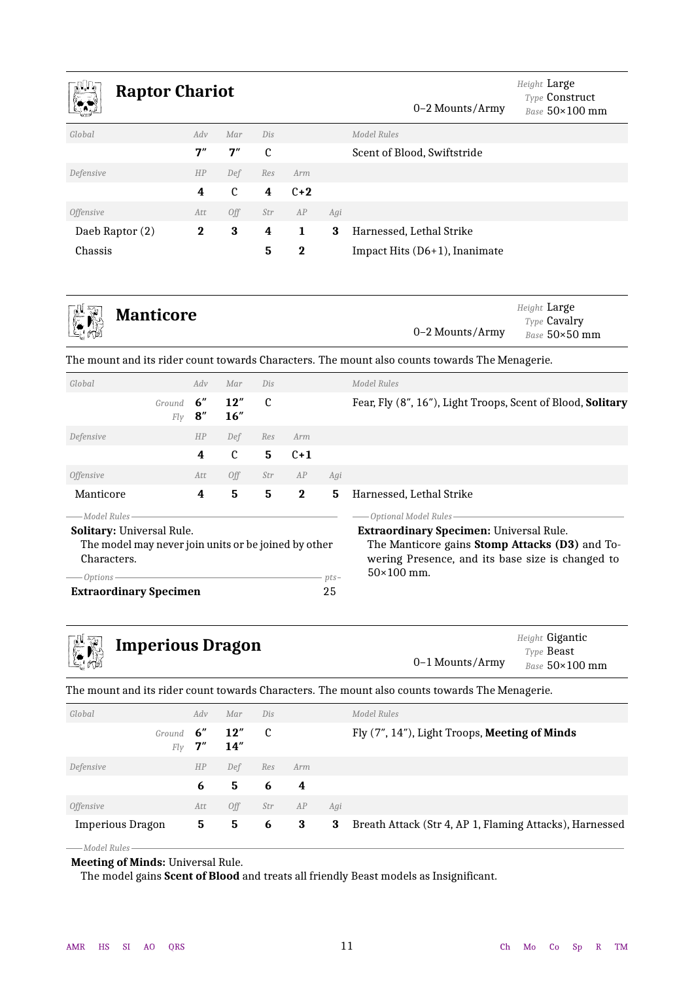<span id="page-10-1"></span>

| <b>Raptor Chariot</b><br>w.<br><u>(* 1</u> |          |             |     |          |     | 0–2 Mounts/Army                  | Height Large<br><b>Type Construct</b><br>Base $50\times100$ mm |
|--------------------------------------------|----------|-------------|-----|----------|-----|----------------------------------|----------------------------------------------------------------|
| Global                                     | Adv      | Mar         | Dis |          |     | Model Rules                      |                                                                |
|                                            | 7''      | 7''         | C   |          |     | Scent of Blood, Swiftstride      |                                                                |
| Defensive                                  | HP       | Def         | Res | Arm      |     |                                  |                                                                |
|                                            | 4        | $\mathbf c$ | 4   | $C+2$    |     |                                  |                                                                |
| <i><b>Offensive</b></i>                    | Att      | Off         | Str | AP       | Agi |                                  |                                                                |
| Daeb Raptor (2)                            | $\bf{2}$ | 3           | 4   | 1        | 3   | Harnessed, Lethal Strike         |                                                                |
| Chassis                                    |          |             | 5   | $\bf{2}$ |     | Impact Hits $(D6+1)$ , Inanimate |                                                                |

<span id="page-10-2"></span>

The mount and its rider count towards Characters. The mount also counts towards The Menagerie.

| Global                                                                                                                                                                     |               | Adv        | Mar          | Dis           |          |     | Model Rules                                                                                                                                                                                        |
|----------------------------------------------------------------------------------------------------------------------------------------------------------------------------|---------------|------------|--------------|---------------|----------|-----|----------------------------------------------------------------------------------------------------------------------------------------------------------------------------------------------------|
|                                                                                                                                                                            | Ground<br>Fly | 6''<br>8'' | 12''<br>16'' | $\mathfrak c$ |          |     | Fear, Fly (8", 16"), Light Troops, Scent of Blood, Solitary                                                                                                                                        |
| Defensive                                                                                                                                                                  |               | HP         | Def          | Res           | Arm      |     |                                                                                                                                                                                                    |
|                                                                                                                                                                            |               | 4          | C            | 5             | $C+1$    |     |                                                                                                                                                                                                    |
| <i>Offensive</i>                                                                                                                                                           |               | Att        | 0ff          | Str           | AP       | Agi |                                                                                                                                                                                                    |
| Manticore                                                                                                                                                                  |               | 4          | 5            | 5             | $\bf{2}$ | 5   | Harnessed, Lethal Strike                                                                                                                                                                           |
| — Model Rules-<br>Solitary: Universal Rule.<br>The model may never join units or be joined by other<br>Characters.<br>Options -<br>$pts-$<br><b>Extraordinary Specimen</b> |               |            |              |               |          | 25  | -Optional Model Rules<br><b>Extraordinary Specimen: Universal Rule.</b><br>The Manticore gains Stomp Attacks (D3) and To-<br>wering Presence, and its base size is changed to<br>$50\times100$ mm. |
|                                                                                                                                                                            |               |            |              |               |          |     |                                                                                                                                                                                                    |

<span id="page-10-3"></span>

| <b>EN Imperious Dragon</b> | 0–1 Mounts/Army | Height Gigantic<br>Type <b>Beast</b><br>Base $50\times100$ mm |
|----------------------------|-----------------|---------------------------------------------------------------|
|                            |                 |                                                               |

The mount and its rider count towards Characters. The mount also counts towards The Menagerie.

| Global                  | Adv              | Mar         | Dis |     |     | Model Rules                                             |
|-------------------------|------------------|-------------|-----|-----|-----|---------------------------------------------------------|
| Ground                  | 6"<br>7''<br>Fly | 12"<br>14'' | - C |     |     | Fly (7", 14"), Light Troops, Meeting of Minds           |
| Defensive               | HP               | Def         | Res | Arm |     |                                                         |
|                         | 6                | 5           | 6   | 4   |     |                                                         |
| <i><b>Offensive</b></i> | Att              | Off         | Str | AP  | Agi |                                                         |
| Imperious Dragon        | 5.               | 5           | 6   | 3   | 3   | Breath Attack (Str 4, AP 1, Flaming Attacks), Harnessed |
| -Model Rules            |                  |             |     |     |     |                                                         |

#### <span id="page-10-0"></span>**Meeting of Minds:** Universal Rule.

The model gains **Scent of Blood** and treats all friendly Beast models as Insignificant.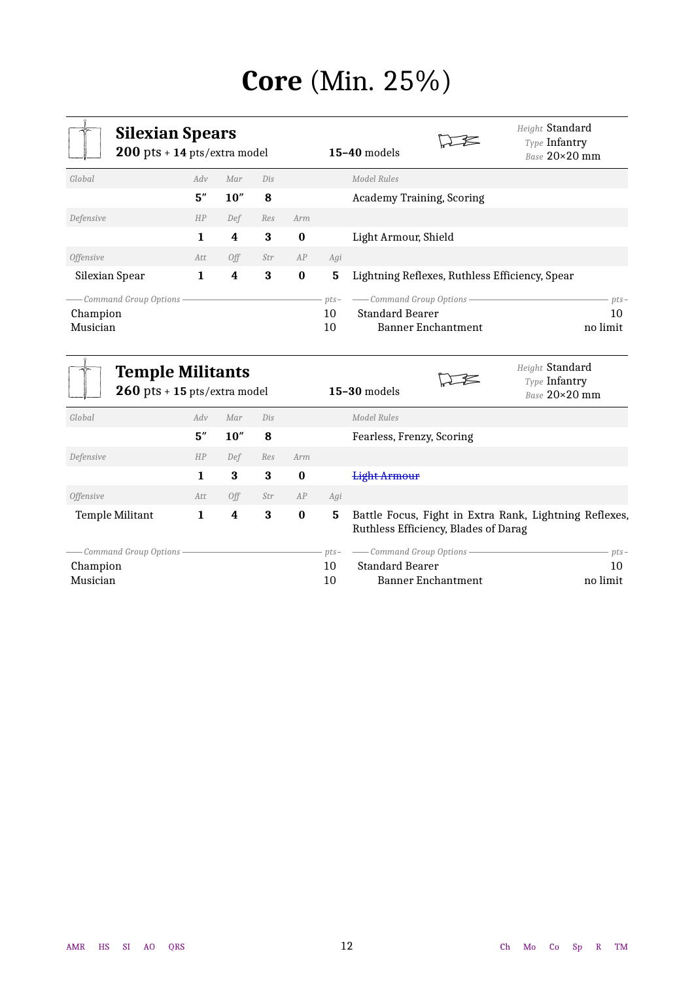# **Core** (Min. 25%)

<span id="page-11-1"></span><span id="page-11-0"></span>

| <b>Silexian Spears</b><br>$200$ pts + 14 pts/extra model |     |      |     |          |                    | Height Standard<br>Type Infantry<br>$15-40$ models<br>Base $20\times20$ mm     |                          |
|----------------------------------------------------------|-----|------|-----|----------|--------------------|--------------------------------------------------------------------------------|--------------------------|
| Global                                                   | Adv | Mar  | Dis |          |                    | Model Rules                                                                    |                          |
|                                                          | 5'' | 10'' | 8   |          |                    | Academy Training, Scoring                                                      |                          |
| Defensive                                                | HP  | Def  | Res | Arm      |                    |                                                                                |                          |
|                                                          | 1   | 4    | 3   | $\bf{0}$ |                    | Light Armour, Shield                                                           |                          |
| <i><b>Offensive</b></i>                                  | Att | Off  | Str | AP       | Agi                |                                                                                |                          |
| Silexian Spear                                           | 1   | 4    | 3   | $\bf{0}$ | 5                  | Lightning Reflexes, Ruthless Efficiency, Spear                                 |                          |
| Command Group Options-<br>Champion<br>Musician           |     |      |     |          | $pts-$<br>10<br>10 | - Command Group Options<br><b>Standard Bearer</b><br><b>Banner Enchantment</b> | $pts-$<br>10<br>no limit |

<span id="page-11-2"></span>

|                                                 | <b>Temple Militants</b><br>$260$ pts + 15 pts/extra model |      |     |          |                    | $15-30$ models                                                                                 | Height Standard<br>Type Infantry<br>Base 20×20 mm |
|-------------------------------------------------|-----------------------------------------------------------|------|-----|----------|--------------------|------------------------------------------------------------------------------------------------|---------------------------------------------------|
| Global                                          | Adv                                                       | Mar  | Dis |          |                    | Model Rules                                                                                    |                                                   |
|                                                 | 5''                                                       | 10'' | 8   |          |                    | Fearless, Frenzy, Scoring                                                                      |                                                   |
| Defensive                                       | HP                                                        | Def  | Res | Arm      |                    |                                                                                                |                                                   |
|                                                 | 1                                                         | 3    | 3   | $\bf{0}$ |                    | <b>Light Armour</b>                                                                            |                                                   |
| <i><b>Offensive</b></i>                         | Att                                                       | Off  | Str | AP       | Agi                |                                                                                                |                                                   |
| <b>Temple Militant</b>                          | 1                                                         | 4    | 3   | $\bf{0}$ | 5                  | Battle Focus, Fight in Extra Rank, Lightning Reflexes,<br>Ruthless Efficiency, Blades of Darag |                                                   |
| Command Group Options -<br>Champion<br>Musician |                                                           |      |     |          | $pts-$<br>10<br>10 | - Command Group Options -<br><b>Standard Bearer</b><br><b>Banner Enchantment</b>               | $pts-$<br>10<br>no limit                          |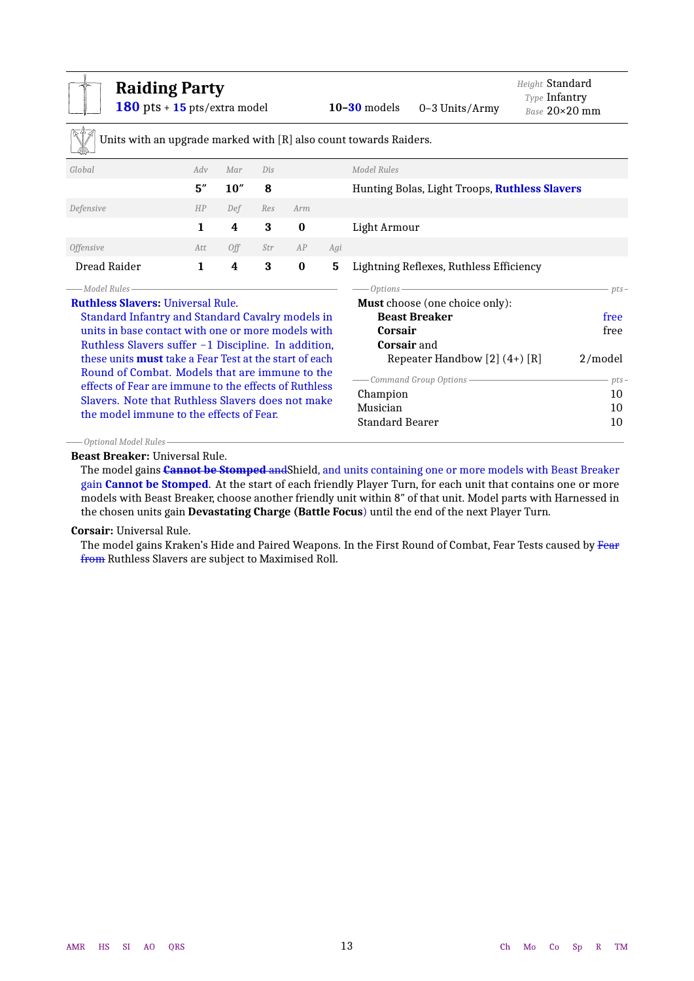<span id="page-12-0"></span>

| <b>Raiding Party</b><br>180 pts + $15$ pts/extra model                                                 |              |                                                                            |     |          |     | $10-30$ models<br>$0-3$ Units/Army                                | Height Standard<br>Type Infantry<br>$Base 20 \times 20$ mm |  |
|--------------------------------------------------------------------------------------------------------|--------------|----------------------------------------------------------------------------|-----|----------|-----|-------------------------------------------------------------------|------------------------------------------------------------|--|
|                                                                                                        |              |                                                                            |     |          |     | Units with an upgrade marked with [R] also count towards Raiders. |                                                            |  |
| Global                                                                                                 | Adv          | Mar                                                                        | Dis |          |     | Model Rules                                                       |                                                            |  |
|                                                                                                        | 5''          | 10''                                                                       | 8   |          |     | Hunting Bolas, Light Troops, Ruthless Slavers                     |                                                            |  |
| Defensive                                                                                              | HP           | Def                                                                        | Res | Arm      |     |                                                                   |                                                            |  |
|                                                                                                        | 1.           | 4                                                                          | 3   | $\bf{0}$ |     | Light Armour                                                      |                                                            |  |
| <b>Offensive</b>                                                                                       | Att          | Off                                                                        | Str | AP       | Agi |                                                                   |                                                            |  |
| Dread Raider                                                                                           | $\mathbf{1}$ | 4                                                                          | 3   | $\bf{0}$ | 5   | Lightning Reflexes, Ruthless Efficiency                           |                                                            |  |
| — Model Rules-                                                                                         |              | the control of the control of the control of the control of the control of |     |          |     |                                                                   | $pts-$                                                     |  |
| <b>Ruthless Slavers: Universal Rule.</b>                                                               |              |                                                                            |     |          |     | <b>Must</b> choose (one choice only):<br><b>Beast Breaker</b>     |                                                            |  |
| Standard Infantry and Standard Cavalry models in<br>units in base contact with one or more models with |              |                                                                            |     |          |     | Corsair                                                           | free<br>free                                               |  |
| Ruthless Slavers suffer -1 Discipline. In addition,                                                    |              |                                                                            |     |          |     | <b>Corsair</b> and                                                |                                                            |  |
| these units <b>must</b> take a Fear Test at the start of each                                          |              |                                                                            |     |          |     | Repeater Handbow $[2] (4+) [R]$                                   | 2/model                                                    |  |
| Round of Combat. Models that are immune to the                                                         |              |                                                                            |     |          |     |                                                                   |                                                            |  |
| effects of Fear are immune to the effects of Ruthless                                                  |              |                                                                            |     |          |     | - Command Group Options-                                          | $pts-$                                                     |  |
| Slavers. Note that Ruthless Slavers does not make                                                      |              |                                                                            |     |          |     | Champion<br>10                                                    |                                                            |  |
| the model immune to the effects of Fear.                                                               |              |                                                                            |     |          |     | Musician<br>10                                                    |                                                            |  |
|                                                                                                        |              |                                                                            |     |          |     | Standard Bearer                                                   | 10                                                         |  |

*Optional Model Rules*

**Beast Breaker:** Universal Rule.

The model gains **Cannot be Stomped** andShield, and units containing one or more models with Beast Breaker gain **Cannot be Stomped**. At the start of each friendly Player Turn, for each unit that contains one or more models with Beast Breaker, choose another friendly unit within 8″ of that unit. Model parts with Harnessed in the chosen units gain **Devastating Charge (Battle Focus**) until the end of the next Player Turn.

**Corsair:** Universal Rule.

The model gains Kraken's Hide and Paired Weapons. In the First Round of Combat, Fear Tests caused by Fear from Ruthless Slavers are subject to Maximised Roll.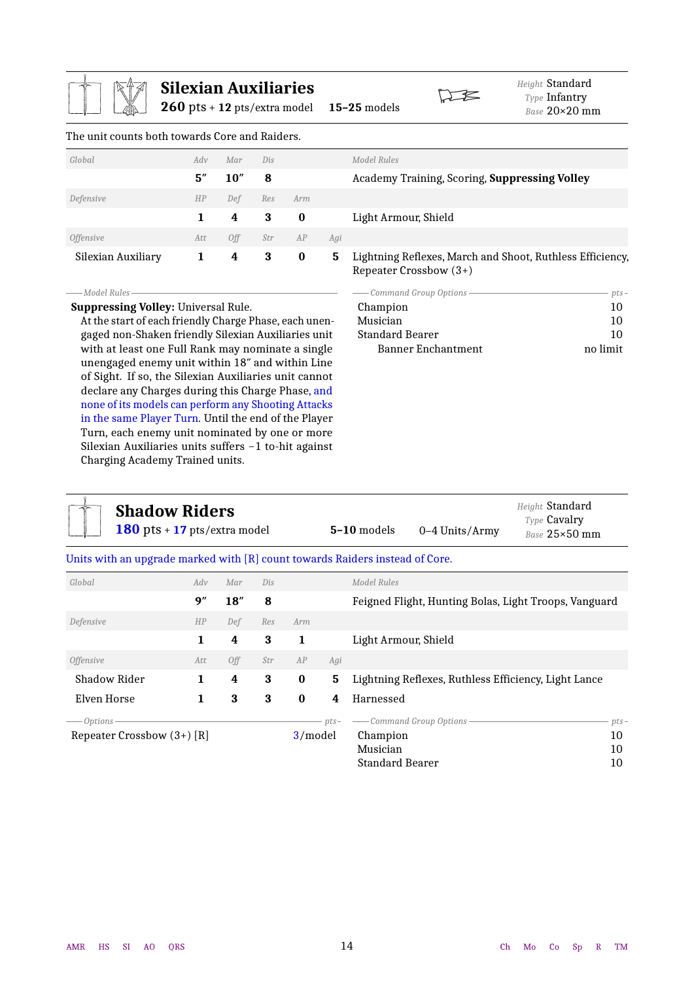<span id="page-13-1"></span>

|                                                                                                                                                                                                                    | $260$ pts + 12 pts/extra model | <b>Silexian Auxiliaries</b> |                                                     |             |     | Height Standard<br>Type Infantry<br>15-25 models<br>Base 20×20 mm                   |          |
|--------------------------------------------------------------------------------------------------------------------------------------------------------------------------------------------------------------------|--------------------------------|-----------------------------|-----------------------------------------------------|-------------|-----|-------------------------------------------------------------------------------------|----------|
| The unit counts both towards Core and Raiders.                                                                                                                                                                     |                                |                             |                                                     |             |     |                                                                                     |          |
| Global                                                                                                                                                                                                             | Adv                            | Mar                         | Dis                                                 |             |     | <b>Model Rules</b>                                                                  |          |
|                                                                                                                                                                                                                    | 5''                            | 10''                        | 8                                                   |             |     | Academy Training, Scoring, Suppressing Volley                                       |          |
| Defensive                                                                                                                                                                                                          | HP                             | Def                         | Res                                                 | Arm         |     |                                                                                     |          |
|                                                                                                                                                                                                                    | 1                              | 4                           | $\bf{3}$                                            | $\bf{0}$    |     | Light Armour, Shield                                                                |          |
| <b>Offensive</b>                                                                                                                                                                                                   | Att                            | Off                         | Str                                                 | ${\cal AP}$ | Agi |                                                                                     |          |
| Silexian Auxiliary                                                                                                                                                                                                 | $\mathbf 1$                    | $\boldsymbol{4}$            | 3                                                   | $\bf{0}$    | 5   | Lightning Reflexes, March and Shoot, Ruthless Efficiency,<br>Repeater Crossbow (3+) |          |
| -Model Rules-                                                                                                                                                                                                      |                                |                             |                                                     |             |     | - Command Group Options                                                             | $pts-$   |
| <b>Suppressing Volley: Universal Rule.</b>                                                                                                                                                                         |                                |                             |                                                     |             |     | Champion                                                                            | 10       |
| At the start of each friendly Charge Phase, each unen-<br>gaged non-Shaken friendly Silexian Auxiliaries unit                                                                                                      |                                |                             |                                                     |             |     | Musician<br><b>Standard Bearer</b>                                                  | 10<br>10 |
| with at least one Full Rank may nominate a single<br>unengaged enemy unit within 18" and within Line<br>of Sight. If so, the Silexian Auxiliaries unit cannot<br>declare any Charges during this Charge Phase, and |                                |                             | none of its models can perform any Shooting Attacks |             |     | <b>Banner Enchantment</b>                                                           | no limit |

<span id="page-13-2"></span><span id="page-13-0"></span>

| <b>Shadow Riders</b><br>180 pts + $17$ pts/extra model |     |      |     |          |        | 5-10 models<br>$0-4$ Units/Army                                              | Height Standard<br>Type Cavalry<br>Base 25×50 mm |  |
|--------------------------------------------------------|-----|------|-----|----------|--------|------------------------------------------------------------------------------|--------------------------------------------------|--|
|                                                        |     |      |     |          |        | Units with an upgrade marked with [R] count towards Raiders instead of Core. |                                                  |  |
| Global                                                 | Adv | Mar  | Dis |          |        | Model Rules                                                                  |                                                  |  |
|                                                        | 9"  | 18'' | 8   |          |        | Feigned Flight, Hunting Bolas, Light Troops, Vanguard                        |                                                  |  |
| Defensive                                              | HP  | Def  | Res | Arm      |        |                                                                              |                                                  |  |
|                                                        | 1   | 4    | 3   | 1        |        | Light Armour, Shield                                                         |                                                  |  |
| <i><b>Offensive</b></i>                                | Att | Off  | Str | AP       | Agi    |                                                                              |                                                  |  |
| Shadow Rider                                           | 1   | 4    | 3   | $\bf{0}$ | 5      | Lightning Reflexes, Ruthless Efficiency, Light Lance                         |                                                  |  |
| Elven Horse                                            | 1   | 3    | 3   | $\bf{0}$ | 4      | Harnessed                                                                    |                                                  |  |
| Options -                                              |     |      |     |          | $pts-$ | - Command Group Options                                                      | $pts-$                                           |  |
| Repeater Crossbow $(3+)$ [R]                           |     |      |     | 3/model  |        | Champion                                                                     | 10                                               |  |
|                                                        |     |      |     |          |        | Musician                                                                     | 10                                               |  |
|                                                        |     |      |     |          |        | <b>Standard Bearer</b>                                                       | 10                                               |  |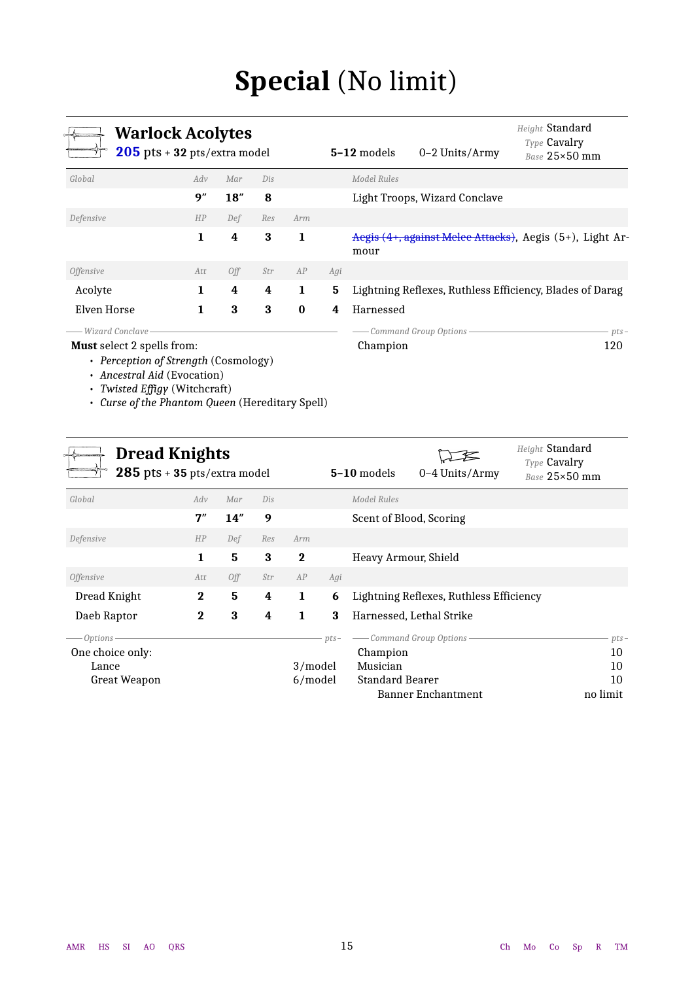# **Special** (No limit)

<span id="page-14-1"></span><span id="page-14-0"></span>

| <b>Warlock Acolytes</b><br>$205$ pts + 32 pts/extra model                                                                                                                           |              |      |     |          |     | 5-12 models | 0-2 Units/Army                | Height Standard<br>Type Cavalry<br>Base 25×50 mm         |
|-------------------------------------------------------------------------------------------------------------------------------------------------------------------------------------|--------------|------|-----|----------|-----|-------------|-------------------------------|----------------------------------------------------------|
| Global                                                                                                                                                                              | Adv          | Mar  | Dis |          |     | Model Rules |                               |                                                          |
|                                                                                                                                                                                     | 9"           | 18'' | 8   |          |     |             | Light Troops, Wizard Conclave |                                                          |
| Defensive                                                                                                                                                                           | HP           | Def  | Res | Arm      |     |             |                               |                                                          |
|                                                                                                                                                                                     | $\mathbf{1}$ | 4    | 3   | 1        |     | mour        |                               | Aegis (4+, against Melee Attacks), Aegis (5+), Light Ar- |
| <i><b>Offensive</b></i>                                                                                                                                                             | Att          | 0ff  | Str | AP       | Agi |             |                               |                                                          |
| Acolyte                                                                                                                                                                             | 1            | 4    | 4   | 1        | 5   |             |                               | Lightning Reflexes, Ruthless Efficiency, Blades of Darag |
| Elven Horse                                                                                                                                                                         | 1            | 3    | 3   | $\bf{0}$ | 4   | Harnessed   |                               |                                                          |
| Wizard Conclave                                                                                                                                                                     |              |      |     |          |     |             | Command Group Options-        | $pts-$                                                   |
| Must select 2 spells from:<br>• Perception of Strength (Cosmology)<br>• Ancestral Aid (Evocation)<br>• Twisted Effigy (Witchcraft)<br>Curse of the Phantom Queen (Hereditary Spell) |              |      |     |          |     | Champion    |                               | 120                                                      |
|                                                                                                                                                                                     |              |      |     |          |     |             |                               | $U_{\text{disk}}$ $\alpha$ $\alpha$                      |

<span id="page-14-2"></span>

| <b>Dread Knights</b><br>$285$ pts + 35 pts/extra model |             |     |     |              |        | Height Standard<br>Type Cavalry<br>$5-10$ models<br>0-4 Units/Army<br>Base 25×50 mm |                                         |          |
|--------------------------------------------------------|-------------|-----|-----|--------------|--------|-------------------------------------------------------------------------------------|-----------------------------------------|----------|
| Global                                                 | Adv         | Mar | Dis |              |        | Model Rules                                                                         |                                         |          |
|                                                        | 7''         | 14" | 9   |              |        |                                                                                     | Scent of Blood, Scoring                 |          |
| Defensive                                              | HP          | Def | Res | Arm          |        |                                                                                     |                                         |          |
|                                                        | 1           | 5   | 3   | $\mathbf 2$  |        | Heavy Armour, Shield                                                                |                                         |          |
| <i>Offensive</i>                                       | Att         | Off | Str | AP           | Agi    |                                                                                     |                                         |          |
| Dread Knight                                           | $\mathbf 2$ | 5   | 4   | $\mathbf{1}$ | 6      |                                                                                     | Lightning Reflexes, Ruthless Efficiency |          |
| Daeb Raptor                                            | $\bf{2}$    | 3   | 4   | 1            | 3      |                                                                                     | Harnessed, Lethal Strike                |          |
| Options -                                              |             |     |     |              | $pts-$ |                                                                                     | - Command Group Options -               | $pts-$   |
| One choice only:                                       |             |     |     |              |        | Champion                                                                            |                                         | 10       |
| Lance                                                  |             |     |     | 3/model      |        | Musician                                                                            |                                         | 10       |
| <b>Great Weapon</b>                                    |             |     |     | 6/model      |        | <b>Standard Bearer</b>                                                              |                                         | 10       |
|                                                        |             |     |     |              |        |                                                                                     | <b>Banner Enchantment</b>               | no limit |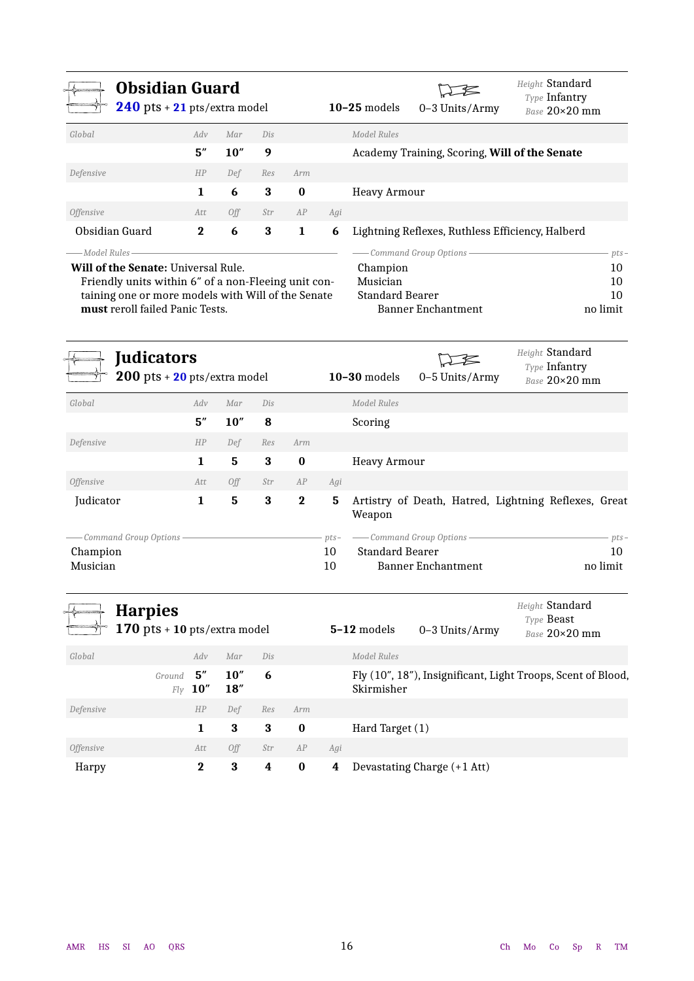<span id="page-15-0"></span>

| <b>Obsidian Guard</b><br>$240$ pts + $21$ pts/extra model |          |      |     |          |     | $10-25$ models | 0-3 Units/Army                                   | Height Standard<br>Type Infantry<br>Base 20×20 mm |     |
|-----------------------------------------------------------|----------|------|-----|----------|-----|----------------|--------------------------------------------------|---------------------------------------------------|-----|
| Global                                                    | Adv      | Mar  | Dis |          |     | Model Rules    |                                                  |                                                   |     |
|                                                           | 5''      | 10'' | 9   |          |     |                | Academy Training, Scoring, Will of the Senate    |                                                   |     |
| Defensive                                                 | HP       | Def  | Res | Arm      |     |                |                                                  |                                                   |     |
|                                                           | 1.       | 6    | 3   | $\bf{0}$ |     | Heavy Armour   |                                                  |                                                   |     |
| <i>Offensive</i>                                          | Att      | 0ff  | Str | AP       | Agi |                |                                                  |                                                   |     |
| Obsidian Guard                                            | $\bf{2}$ | 6    | 3   | 1        | 6   |                | Lightning Reflexes, Ruthless Efficiency, Halberd |                                                   |     |
| ——Model Rules                                             |          |      |     |          |     |                | Command Group Options -                          |                                                   | pts |
| <b>Will of the Senate: Universal Rule.</b>                |          |      |     |          |     | Champion       |                                                  |                                                   | 10  |

Friendly units within 6″ of a non-Fleeing unit containing one or more models with Will of the Senate **must** reroll failed Panic Tests.

### Champion 10 Musician 10 Standard Bearer 10 Banner Enchantment no limit

<span id="page-15-1"></span>

| <b>Judicators</b><br>$200$ pts + $20$ pts/extra model |     |      |     |             |        | $10-30$ models         | 0-5 Units/Army            | Height Standard<br>Type Infantry<br>Base 20×20 mm    |
|-------------------------------------------------------|-----|------|-----|-------------|--------|------------------------|---------------------------|------------------------------------------------------|
| Global                                                | Adv | Mar  | Dis |             |        | Model Rules            |                           |                                                      |
|                                                       | 5'' | 10'' | 8   |             |        | Scoring                |                           |                                                      |
| Defensive                                             | HP  | Def  | Res | Arm         |        |                        |                           |                                                      |
|                                                       | 1   | 5    | 3   | $\bf{0}$    |        | <b>Heavy Armour</b>    |                           |                                                      |
| <i><b>Offensive</b></i>                               | Att | Off  | Str | AP          | Agi    |                        |                           |                                                      |
| Judicator                                             | 1   | 5    | 3   | $\mathbf 2$ | 5      | Weapon                 |                           | Artistry of Death, Hatred, Lightning Reflexes, Great |
| Command Group Options -                               |     |      |     |             | $pts-$ |                        | - Command Group Options - | $pts-$                                               |
| Champion                                              |     |      |     |             | 10     | <b>Standard Bearer</b> |                           | 10                                                   |
| Musician                                              |     |      |     |             | 10     |                        | Banner Enchantment        | no limit                                             |

<span id="page-15-2"></span>

|                         | <b>Harpies</b><br>170 pts + 10 pts/extra model |          |              |     |          |     | $5-12$ models   | $0-3$ Units/Army            | Height Standard<br>Type Beast<br>Base 20×20 mm               |
|-------------------------|------------------------------------------------|----------|--------------|-----|----------|-----|-----------------|-----------------------------|--------------------------------------------------------------|
| Global                  |                                                | Adv      | Mar          | Dis |          |     | Model Rules     |                             |                                                              |
|                         | Ground $5''$<br>Fly                            | 10''     | 10''<br>18'' | 6   |          |     | Skirmisher      |                             | Fly (10", 18"), Insignificant, Light Troops, Scent of Blood, |
| Defensive               |                                                | HP       | Def          | Res | Arm      |     |                 |                             |                                                              |
|                         |                                                | 1        | 3            | 3   | $\bf{0}$ |     | Hard Target (1) |                             |                                                              |
| <i><b>Offensive</b></i> |                                                | Att      | Off          | Str | AP       | Agi |                 |                             |                                                              |
| Harpy                   |                                                | $\bf{2}$ | 3            | 4   | $\bf{0}$ | 4   |                 | Devastating Charge (+1 Att) |                                                              |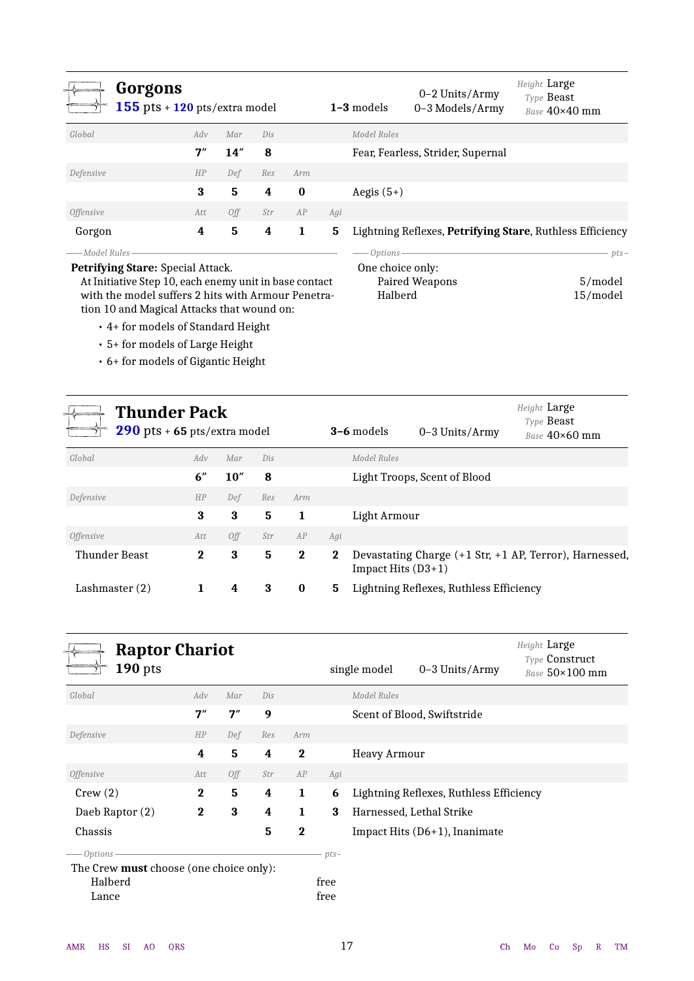<span id="page-16-0"></span>

|                                          | Gorgons<br>$155$ pts + $120$ pts/extra model |     |     |          |     | $1-3$ models        | $0-2$ Units/Army<br>0-3 Models/Army | Height Large<br>Type <b>Beast</b><br>Base $40\times40$ mm |
|------------------------------------------|----------------------------------------------|-----|-----|----------|-----|---------------------|-------------------------------------|-----------------------------------------------------------|
| Global                                   | Adv                                          | Mar | Dis |          |     | Model Rules         |                                     |                                                           |
|                                          | 7''                                          | 14" | 8   |          |     |                     | Fear, Fearless, Strider, Supernal   |                                                           |
| Defensive                                | HP                                           | Def | Res | Arm      |     |                     |                                     |                                                           |
|                                          | 3                                            | 5   | 4   | $\bf{0}$ |     | Aegis $(5+)$        |                                     |                                                           |
| <i><b>Offensive</b></i>                  | Att                                          | Off | Str | AP       | Agi |                     |                                     |                                                           |
| Gorgon                                   | 4                                            | 5   | 4   | 1        | 5.  |                     |                                     | Lightning Reflexes, Petrifying Stare, Ruthless Efficiency |
| ——Model Rules<br><b>Protoco Protocol</b> |                                              |     |     |          |     | $-$ Options $\cdot$ |                                     | $pts-$                                                    |

**Petrifying Stare:** Special Attack.

At Initiative Step 10, each enemy unit in base contact with the model suffers 2 hits with Armour Penetration 10 and Magical Attacks that wound on:

- 4+ for models of Standard Height
- 5+ for models of Large Height
- 6+ for models of Gigantic Height

| $\longrightarrow$ Options —————————— |          |
|--------------------------------------|----------|
| One choice only:                     |          |
| Paired Weapons                       | 5/model  |
| Halberd                              | 15/model |
|                                      |          |

<span id="page-16-1"></span>

| <b>Thunder Pack</b><br>$290$ pts + 65 pts/extra model |              |      |     |          |          | <b>3-6</b> models<br>0-3 Units/Army                                          | Height Large<br>Type Beast<br>Base $40\times60$ mm |
|-------------------------------------------------------|--------------|------|-----|----------|----------|------------------------------------------------------------------------------|----------------------------------------------------|
| Global                                                | Adv          | Mar  | Dis |          |          | Model Rules                                                                  |                                                    |
|                                                       | 6"           | 10'' | 8   |          |          | Light Troops, Scent of Blood                                                 |                                                    |
| Defensive                                             | HP           | Def  | Res | Arm      |          |                                                                              |                                                    |
|                                                       | 3            | 3    | 5   | 1        |          | Light Armour                                                                 |                                                    |
| <i><b>Offensive</b></i>                               | Att          | Off  | Str | AP       | Agi      |                                                                              |                                                    |
| Thunder Beast                                         | $\mathbf{2}$ | 3    | 5   | $\bf{2}$ | $\bf{2}$ | Devastating Charge (+1 Str, +1 AP, Terror), Harnessed,<br>Impact Hits (D3+1) |                                                    |
| Lashmaster $(2)$                                      |              | 4    | 3   | $\bf{0}$ | 5        | Lightning Reflexes, Ruthless Efficiency                                      |                                                    |
|                                                       |              |      |     |          |          |                                                                              |                                                    |

<span id="page-16-2"></span>

| <b>Raptor Chariot</b><br>$190$ pts      |          |     |     |          |        | single model        | $0-3$ Units/Army                        | Height Large<br>Type Construct<br>Base 50×100 mm |
|-----------------------------------------|----------|-----|-----|----------|--------|---------------------|-----------------------------------------|--------------------------------------------------|
| Global                                  | Adv      | Mar | Dis |          |        | Model Rules         |                                         |                                                  |
|                                         | 7''      | 7'' | 9   |          |        |                     | Scent of Blood, Swiftstride             |                                                  |
| Defensive                               | HP       | Def | Res | Arm      |        |                     |                                         |                                                  |
|                                         | 4        | 5   | 4   | $\bf{2}$ |        | <b>Heavy Armour</b> |                                         |                                                  |
| <i><b>Offensive</b></i>                 | Att      | Off | Str | AP       | Agi    |                     |                                         |                                                  |
| Crew(2)                                 | $\bf{2}$ | 5   | 4   | 1        | 6      |                     | Lightning Reflexes, Ruthless Efficiency |                                                  |
| Daeb Raptor (2)                         | $\bf{2}$ | 3   | 4   | 1        | 3      |                     | Harnessed, Lethal Strike                |                                                  |
| Chassis                                 |          |     | 5   | $\bf{2}$ |        |                     | Impact Hits $(D6+1)$ , Inanimate        |                                                  |
| $-Options \cdot$                        |          |     |     |          | $pts-$ |                     |                                         |                                                  |
| The Crew must choose (one choice only): |          |     |     |          |        |                     |                                         |                                                  |
| Halberd                                 |          |     |     |          | free   |                     |                                         |                                                  |
| Lance                                   |          |     |     |          | free   |                     |                                         |                                                  |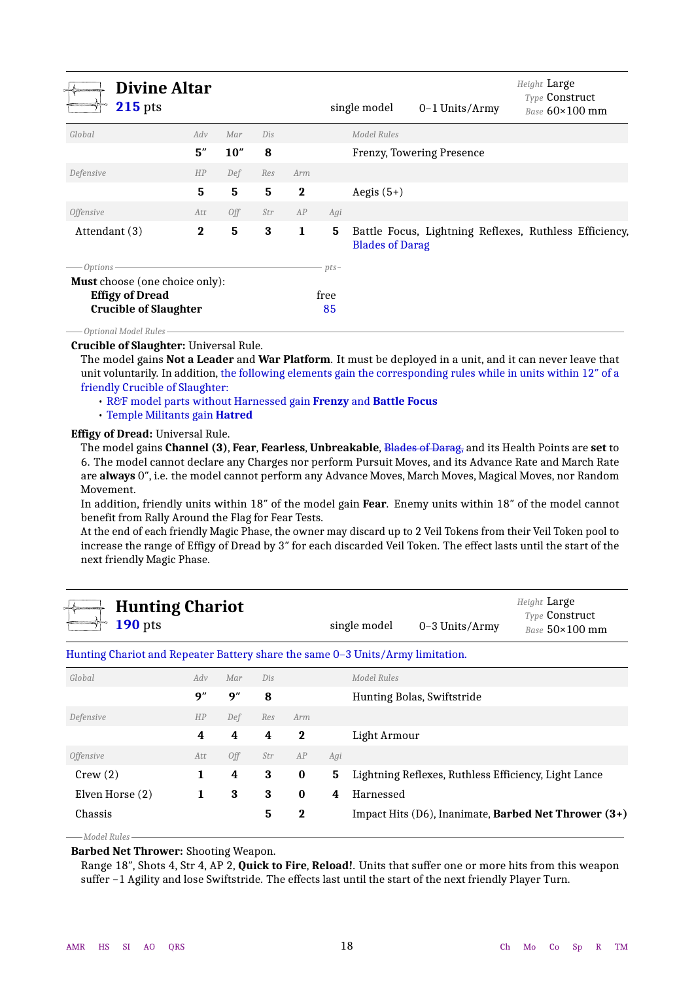<span id="page-17-0"></span>

| <b>Divine Altar</b><br><b>215</b> pts                                                           |          |      |     |             |            | single model                                                                     | $0-1$ Units/Army          | Height Large<br><b>Type Construct</b><br>Base $60\times100$ mm |  |
|-------------------------------------------------------------------------------------------------|----------|------|-----|-------------|------------|----------------------------------------------------------------------------------|---------------------------|----------------------------------------------------------------|--|
| Global                                                                                          | Adv      | Mar  | Dis |             |            | Model Rules                                                                      |                           |                                                                |  |
|                                                                                                 | 5''      | 10'' | 8   |             |            |                                                                                  | Frenzy, Towering Presence |                                                                |  |
| Defensive                                                                                       | HP       | Def  | Res | Arm         |            |                                                                                  |                           |                                                                |  |
|                                                                                                 | 5        | 5    | 5   | $\bf{2}$    |            | Aegis $(5+)$                                                                     |                           |                                                                |  |
| <i><b>Offensive</b></i>                                                                         | Att      | Off  | Str | AP          | Agi        |                                                                                  |                           |                                                                |  |
| Attendant (3)                                                                                   | $\bf{2}$ | 5    | 3   | $\mathbf 1$ | 5          | Battle Focus, Lightning Reflexes, Ruthless Efficiency,<br><b>Blades of Darag</b> |                           |                                                                |  |
| — Options -                                                                                     |          |      |     |             | $pts-$     |                                                                                  |                           |                                                                |  |
| <b>Must</b> choose (one choice only):<br><b>Effigy of Dread</b><br><b>Crucible of Slaughter</b> |          |      |     |             | free<br>85 |                                                                                  |                           |                                                                |  |
| – Optional Model Rules -                                                                        |          |      |     |             |            |                                                                                  |                           |                                                                |  |

### **Crucible of Slaughter:** Universal Rule.

The model gains **Not a Leader** and **War Platform**. It must be deployed in a unit, and it can never leave that unit voluntarily. In addition, the following elements gain the corresponding rules while in units within 12″ of a friendly Crucible of Slaughter:

• R&F model parts without Harnessed gain **Frenzy** and **Battle Focus**

• Temple Militants gain **Hatred**

#### **Effigy of Dread:** Universal Rule.

The model gains **Channel (3)**, **Fear**, **Fearless**, **Unbreakable**, Blades of Darag, and its Health Points are **set** to 6. The model cannot declare any Charges nor perform Pursuit Moves, and its Advance Rate and March Rate are **always** 0″, i.e. the model cannot perform any Advance Moves, March Moves, Magical Moves, nor Random Movement.

In addition, friendly units within 18″ of the model gain **Fear**. Enemy units within 18″ of the model cannot benefit from Rally Around the Flag for Fear Tests.

At the end of each friendly Magic Phase, the owner may discard up to 2 Veil Tokens from their Veil Token pool to increase the range of Effigy of Dread by 3″ for each discarded Veil Token. The effect lasts until the start of the next friendly Magic Phase.

<span id="page-17-1"></span>

| $\leftrightarrow$ Hunting Chariot |              |                | Height <b>Large</b>                            |
|-----------------------------------|--------------|----------------|------------------------------------------------|
| $\rightarrow$ 190 pts             | single model | 0–3 Units/Army | <b>Type Construct</b><br>Base $50\times100$ mm |

#### Hunting Chariot and Repeater Battery share the same 0–3 Units/Army limitation.

| Global                  | Adv | Mar        | Dis |          |     | Model Rules                                                                 |
|-------------------------|-----|------------|-----|----------|-----|-----------------------------------------------------------------------------|
|                         | 9'' | 9''        | 8   |          |     | Hunting Bolas, Swiftstride                                                  |
| Defensive               | HP  | Def        | Res | Arm      |     |                                                                             |
|                         | 4   | 4          | 4   | 2        |     | Light Armour                                                                |
| <i><b>Offensive</b></i> | Att | <b>Off</b> | Str | AP       | Agi |                                                                             |
| Crew(2)                 | 1   | 4          | 3   | $\bf{0}$ |     | 5 Lightning Reflexes, Ruthless Efficiency, Light Lance                      |
| Elven Horse (2)         | 1   | 3          | 3   | $\bf{0}$ | 4   | Harnessed                                                                   |
| Chassis                 |     |            | 5   | $\bf{2}$ |     | Impact Hits $(D6)$ , Inanimate, <b>Barbed Net Thrower <math>(3+)</math></b> |
|                         |     |            |     |          |     |                                                                             |

**Barbed Net Thrower:** Shooting Weapon.

Range 18″, Shots 4, Str 4, AP 2, **Quick to Fire**, **Reload!**. Units that suffer one or more hits from this weapon suffer −1 Agility and lose Swiftstride. The effects last until the start of the next friendly Player Turn.

*Model Rules*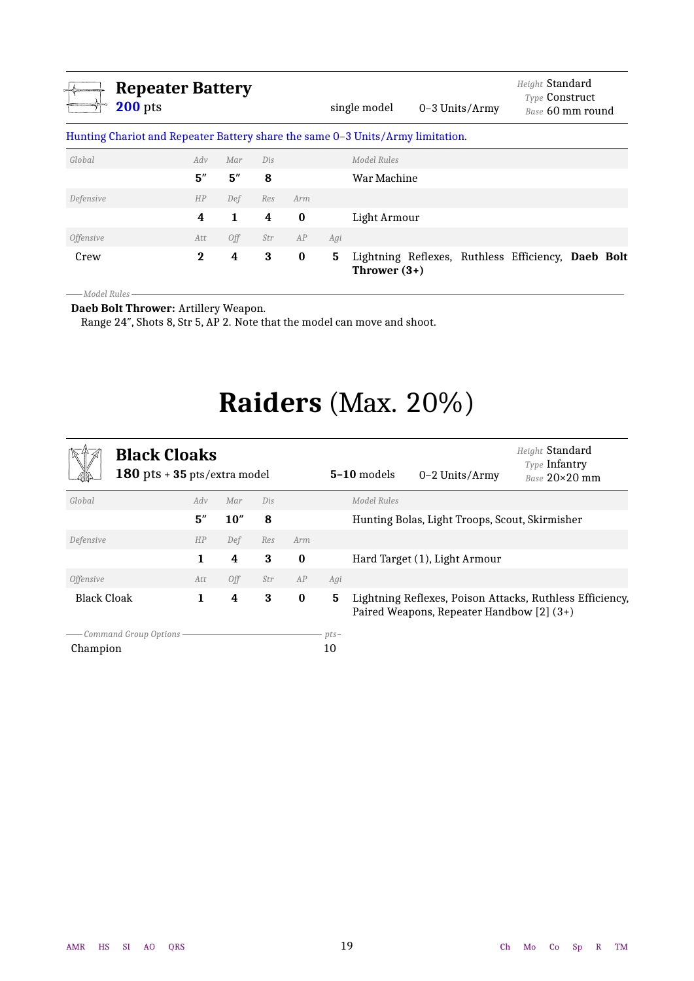<span id="page-18-3"></span>

| <b>Repeater Battery</b><br><b>200</b> pts                                      |          |     |     |          |     | single model                                                         | $0-3$ Units/Army | Height Standard<br><b>Type Construct</b><br>Base 60 mm round |  |
|--------------------------------------------------------------------------------|----------|-----|-----|----------|-----|----------------------------------------------------------------------|------------------|--------------------------------------------------------------|--|
| Hunting Chariot and Repeater Battery share the same 0-3 Units/Army limitation. |          |     |     |          |     |                                                                      |                  |                                                              |  |
| Global                                                                         | Adv      | Mar | Dis |          |     | Model Rules                                                          |                  |                                                              |  |
|                                                                                | 5''      | 5'' | 8   |          |     | War Machine                                                          |                  |                                                              |  |
| Defensive                                                                      | HP       | Def | Res | Arm      |     |                                                                      |                  |                                                              |  |
|                                                                                | 4        | 1   | 4   | $\bf{0}$ |     | Light Armour                                                         |                  |                                                              |  |
| <i><b>Offensive</b></i>                                                        | Att      | 0ff | Str | AP       | Agi |                                                                      |                  |                                                              |  |
| Crew                                                                           | $\bf{2}$ | 4   | 3   | $\bf{0}$ | 5   | Lightning Reflexes, Ruthless Efficiency, Daeb Bolt<br>Thrower $(3+)$ |                  |                                                              |  |

*Model Rules*

<span id="page-18-1"></span>**Daeb Bolt Thrower:** Artillery Weapon.

<span id="page-18-0"></span>Range 24″, Shots 8, Str 5, AP 2. Note that the model can move and shoot.

# **Raiders** (Max. 20%)

<span id="page-18-4"></span><span id="page-18-2"></span>

| <b>Black Cloaks</b><br>180 pts + 35 pts/extra model |     |      |     |          |              | $5-10$ models | $0-2$ Units/Army                               | Height Standard<br><b>Type Infantry</b><br>Base 20×20 mm |
|-----------------------------------------------------|-----|------|-----|----------|--------------|---------------|------------------------------------------------|----------------------------------------------------------|
| Global                                              | Adv | Mar  | Dis |          |              | Model Rules   |                                                |                                                          |
|                                                     | 5'' | 10'' | 8   |          |              |               | Hunting Bolas, Light Troops, Scout, Skirmisher |                                                          |
| Defensive                                           | HP  | Def  | Res | Arm      |              |               |                                                |                                                          |
|                                                     |     | 4    | 3   | $\bf{0}$ |              |               | Hard Target (1), Light Armour                  |                                                          |
| <i><b>Offensive</b></i>                             | Att | Off  | Str | AP       | Agi          |               |                                                |                                                          |
| <b>Black Cloak</b>                                  | 1   | 4    | 3   | $\bf{0}$ | 5            |               | Paired Weapons, Repeater Handbow [2] (3+)      | Lightning Reflexes, Poison Attacks, Ruthless Efficiency, |
| Command Group Options -<br>Champion                 |     |      |     |          | $pts-$<br>10 |               |                                                |                                                          |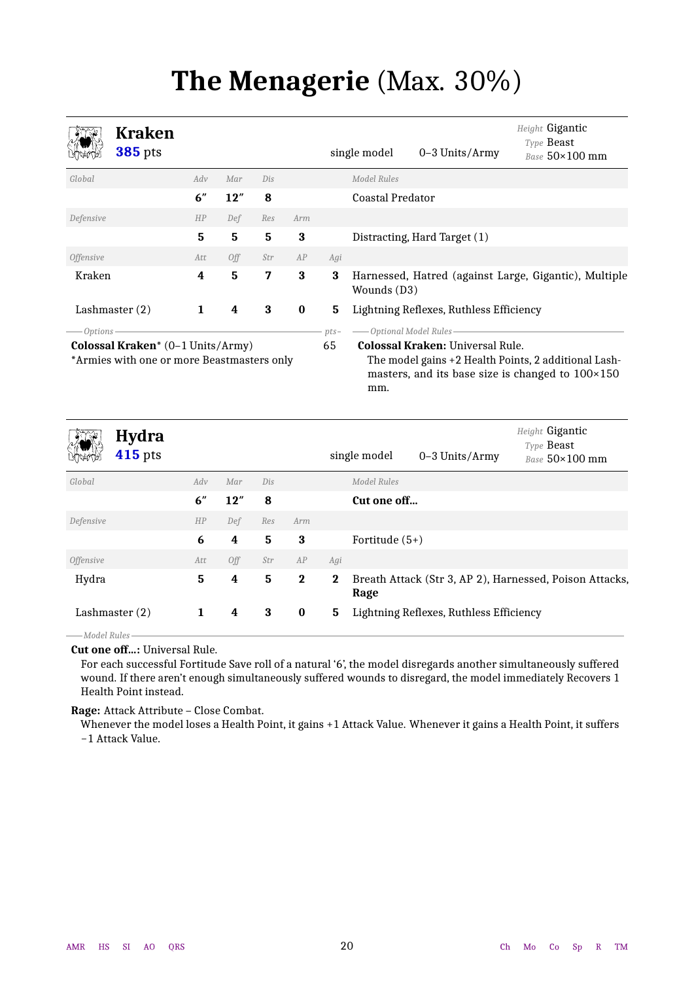# **The Menagerie** (Max. 30%)

<span id="page-19-1"></span><span id="page-19-0"></span>

|                  | <b>Kraken</b><br><b>385</b> pts                                                 |     |     |     |          |              | single model            | 0-3 Units/Army                                                   | Height Gigantic<br>Type Beast<br>Base 50×100 mm                                                                   |
|------------------|---------------------------------------------------------------------------------|-----|-----|-----|----------|--------------|-------------------------|------------------------------------------------------------------|-------------------------------------------------------------------------------------------------------------------|
| Global           |                                                                                 | Adv | Mar | Dis |          |              | <b>Model Rules</b>      |                                                                  |                                                                                                                   |
|                  |                                                                                 | 6"  | 12" | 8   |          |              | <b>Coastal Predator</b> |                                                                  |                                                                                                                   |
| Defensive        |                                                                                 | HP  | Def | Res | Arm      |              |                         |                                                                  |                                                                                                                   |
|                  |                                                                                 | 5   | 5   | 5   | 3        |              |                         | Distracting, Hard Target (1)                                     |                                                                                                                   |
| <b>Offensive</b> |                                                                                 | Att | Off | Str | AP       | Agi          |                         |                                                                  |                                                                                                                   |
| Kraken           |                                                                                 | 4   | 5   | 7   | 3        | 3            | Wounds (D3)             |                                                                  | Harnessed, Hatred (against Large, Gigantic), Multiple                                                             |
|                  | Lashmaster $(2)$                                                                | 1   | 4   | 3   | $\bf{0}$ | 5            |                         | Lightning Reflexes, Ruthless Efficiency                          |                                                                                                                   |
| — Options -      | Colossal Kraken* (0-1 Units/Army)<br>*Armies with one or more Beastmasters only |     |     |     |          | $pts-$<br>65 | mm.                     | -Optional Model Rules<br><b>Colossal Kraken: Universal Rule.</b> | The model gains +2 Health Points, 2 additional Lash-<br>masters, and its base size is changed to $100 \times 150$ |
|                  | <b>Hydra</b><br><b>415</b> pts                                                  |     |     |     |          |              | single model            | 0-3 Units/Army                                                   | Height Gigantic<br>Type Beast<br>Base 50×100 mm                                                                   |
| Global           |                                                                                 | Adv | Mar | Dis |          |              | <b>Model Rules</b>      |                                                                  |                                                                                                                   |
|                  |                                                                                 | 6'' | 12" | 8   |          |              | Cut one off             |                                                                  |                                                                                                                   |
| Defensive        |                                                                                 | HP  | Def | Res | Arm      |              |                         |                                                                  |                                                                                                                   |
|                  |                                                                                 | 6   | 4   | 5   | 3        |              | Fortitude $(5+)$        |                                                                  |                                                                                                                   |
| Offensive        |                                                                                 | Att | Off | Str | AP       | Agi          |                         |                                                                  |                                                                                                                   |
| Hydra            |                                                                                 | 5   | 4   | 5   | $\bf{2}$ | $\bf{2}$     | Rage                    |                                                                  | Breath Attack (Str 3, AP 2), Harnessed, Poison Attacks,                                                           |

*Model Rules*

**Cut one off…:** Universal Rule.

For each successful Fortitude Save roll of a natural '6', the model disregards another simultaneously suffered wound. If there aren't enough simultaneously suffered wounds to disregard, the model immediately Recovers 1 Health Point instead.

<span id="page-19-2"></span>Lashmaster (2) **1 4 3 0 5** Lightning Reflexes, Ruthless Efficiency

**Rage:** Attack Attribute – Close Combat.

Whenever the model loses a Health Point, it gains +1 Attack Value. Whenever it gains a Health Point, it suffers −1 Attack Value.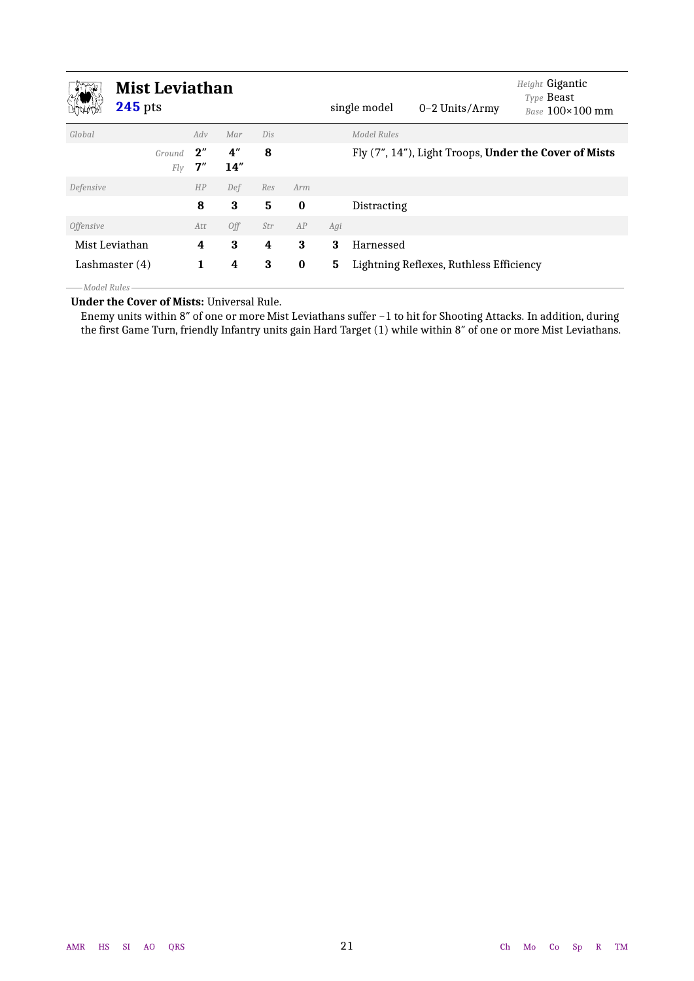<span id="page-20-0"></span>

|                  | <b>Mist Leviathan</b><br><b>245</b> pts |          |            |     |          |     | single model | 0-2 Units/Army                          | Height Gigantic<br>Type Beast<br>Base 100×100 mm      |
|------------------|-----------------------------------------|----------|------------|-----|----------|-----|--------------|-----------------------------------------|-------------------------------------------------------|
| Global           |                                         | Adv      | Mar        | Dis |          |     | Model Rules  |                                         |                                                       |
|                  | Ground<br>Fly                           | 2"<br>7" | 4''<br>14" | 8   |          |     |              |                                         | Fly (7", 14"), Light Troops, Under the Cover of Mists |
| Defensive        |                                         | HP       | Def        | Res | Arm      |     |              |                                         |                                                       |
|                  |                                         | 8        | 3          | 5   | $\bf{0}$ |     | Distracting  |                                         |                                                       |
| <i>Offensive</i> |                                         | Att      | Off        | Str | AP       | Agi |              |                                         |                                                       |
| Mist Leviathan   |                                         | 4        | 3          | 4   | 3        | 3   | Harnessed    |                                         |                                                       |
| Lashmaster $(4)$ |                                         | 1        | 4          | 3   | $\bf{0}$ | 5   |              | Lightning Reflexes, Ruthless Efficiency |                                                       |

*Model Rules*

**Under the Cover of Mists:** Universal Rule.

Enemy units within 8″ of one or more Mist Leviathans suffer −1 to hit for Shooting Attacks. In addition, during the first Game Turn, friendly Infantry units gain Hard Target (1) while within 8″ of one or more Mist Leviathans.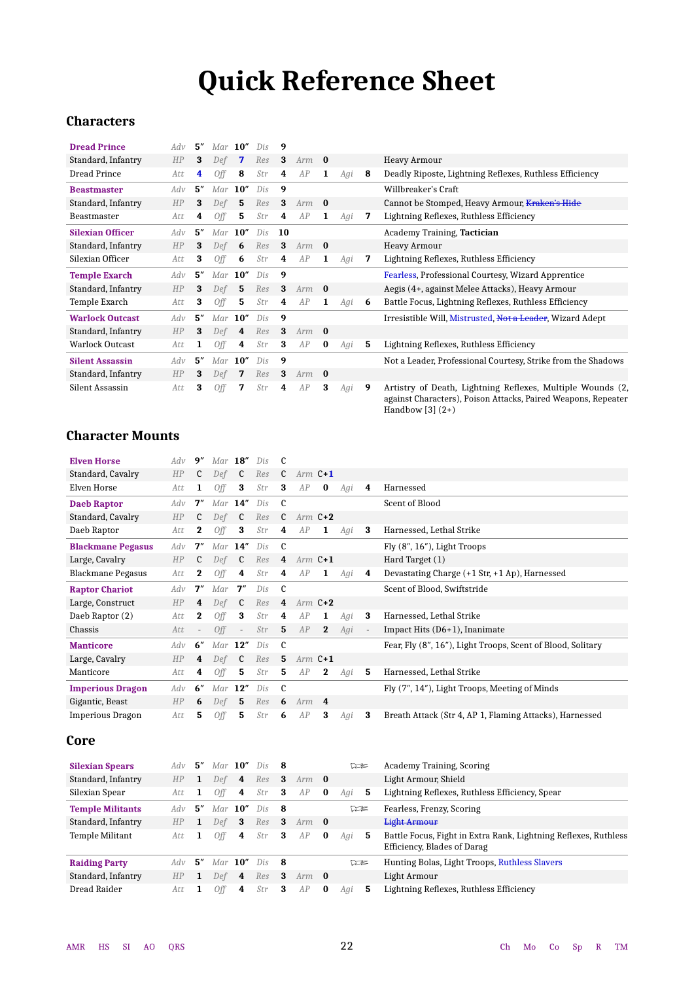# **Quick Reference Sheet**

### <span id="page-21-0"></span>**Characters**

| <b>Dread Prince</b>     | Adv | 5'' | $Mar$ 10" |                | Dis | 9  |     |          |     |   |                                                                                                                                                     |
|-------------------------|-----|-----|-----------|----------------|-----|----|-----|----------|-----|---|-----------------------------------------------------------------------------------------------------------------------------------------------------|
| Standard, Infantry      | HP  | 3   | Def       | 7              | Res | 3  | Arm | $\bf{0}$ |     |   | Heavy Armour                                                                                                                                        |
| <b>Dread Prince</b>     | Att | 4   | Off       | 8              | Str | 4  | AP  | 1        | Agi | 8 | Deadly Riposte, Lightning Reflexes, Ruthless Efficiency                                                                                             |
| <b>Beastmaster</b>      | Adv | 5'' | Mar       | 10''           | Dis | 9  |     |          |     |   | Willbreaker's Craft                                                                                                                                 |
| Standard, Infantry      | HP  | 3   | Def       | 5              | Res | 3  | Arm | $\bf{0}$ |     |   | Cannot be Stomped, Heavy Armour, Kraken's Hide                                                                                                      |
| Beastmaster             | Att | 4   | 0ff       | 5              | Str | 4  | AP  | 1        | Agi | 7 | Lightning Reflexes, Ruthless Efficiency                                                                                                             |
| <b>Silexian Officer</b> | Adv | 5'' | Mar       | 10''           | Dis | 10 |     |          |     |   | Academy Training, Tactician                                                                                                                         |
| Standard, Infantry      | HP  | 3   | Def       | 6              | Res | 3  | Arm | - 0      |     |   | <b>Heavy Armour</b>                                                                                                                                 |
| Silexian Officer        | Att | 3   | Off       | 6              | Str | 4  | AP  | 1        | Agi | 7 | Lightning Reflexes, Ruthless Efficiency                                                                                                             |
| <b>Temple Exarch</b>    | Adv | 5″  | $Mar$ 10" |                | Dis | 9  |     |          |     |   | Fearless, Professional Courtesy, Wizard Apprentice                                                                                                  |
| Standard, Infantry      | HP  | 3   | Def       | 5              | Res | 3  | Arm | $\bf{0}$ |     |   | Aegis (4+, against Melee Attacks), Heavy Armour                                                                                                     |
| Temple Exarch           | Att | 3   | 0ff       | 5              | Str | 4  | AP  | 1        | Agi | 6 | Battle Focus, Lightning Reflexes, Ruthless Efficiency                                                                                               |
| <b>Warlock Outcast</b>  | Adv | 5'' | Mar       | 10''           | Dis | 9  |     |          |     |   | Irresistible Will, Mistrusted, Not a Leader, Wizard Adept                                                                                           |
| Standard, Infantry      | HP  | 3   | Def       | $\overline{4}$ | Res | 3  | Arm | $\bf{0}$ |     |   |                                                                                                                                                     |
| <b>Warlock Outcast</b>  | Att | 1   | 0ff       | 4              | Str | 3  | AP  | $\bf{0}$ | Agi | 5 | Lightning Reflexes, Ruthless Efficiency                                                                                                             |
| <b>Silent Assassin</b>  | Adv | 5'' | Mar       | 10''           | Dis | 9  |     |          |     |   | Not a Leader, Professional Courtesy, Strike from the Shadows                                                                                        |
| Standard, Infantry      | HP  | 3   | Def       | 7              | Res | 3  | Arm | $\bf{0}$ |     |   |                                                                                                                                                     |
| Silent Assassin         | Att | 3   | Off       | 7              | Str | 4  | AP  | 3        | Agi | 9 | Artistry of Death, Lightning Reflexes, Multiple Wounds (2,<br>against Characters), Poison Attacks, Paired Weapons, Repeater<br>Handbow $[3]$ $(2+)$ |

### **Character Mounts**

| <b>Elven Horse</b>       | Adv | 9''                      | Mar       | 18''                     | Dis |                |           |              |     |                          |                                                                      |
|--------------------------|-----|--------------------------|-----------|--------------------------|-----|----------------|-----------|--------------|-----|--------------------------|----------------------------------------------------------------------|
| Standard, Cavalry        | HP  | C                        | Def       | C                        | Res | $\mathfrak{c}$ | Arm $C+1$ |              |     |                          |                                                                      |
| Elven Horse              | Att | 1                        | Off       | 3                        | Str | 3              | AP        | $\bf{0}$     | Agi | 4                        | Harnessed                                                            |
| <b>Daeb Raptor</b>       | Adv | 7''                      |           | $Mar$ 14"                | Dis | C              |           |              |     |                          | Scent of Blood                                                       |
| Standard, Cavalry        | HP  | $\mathfrak{c}$           | Def       | $\mathfrak{c}$           | Res | $\mathfrak{c}$ | Arm $C+2$ |              |     |                          |                                                                      |
| Daeb Raptor              | Att | $\bf{2}$                 | Off       | 3                        | Str | 4              | AP        | 1            | Agi | 3                        | Harnessed, Lethal Strike                                             |
| <b>Blackmane Pegasus</b> | Adv | 7''                      | Mar       | 14''                     | Dis | $\mathbf c$    |           |              |     |                          | Fly $(8", 16")$ , Light Troops                                       |
| Large, Cavalry           | HP  | C                        | Def       | $\mathfrak{c}$           | Res | 4              | Arm $C+1$ |              |     |                          | Hard Target (1)                                                      |
| Blackmane Pegasus        | Att | $\bf{2}$                 | Off       | 4                        | Str | 4              | AP        | 1            | Agi | 4                        | Devastating Charge $(+1 \, \text{Str}, +1 \, \text{Ap})$ , Harnessed |
| <b>Raptor Chariot</b>    | Adv | 7"                       | Mar       | 7''                      | Dis | $\mathbf{c}$   |           |              |     |                          | Scent of Blood, Swiftstride                                          |
| Large, Construct         | HP  | 4                        | Def       | $\mathfrak c$            | Res | 4              | Arm $C+2$ |              |     |                          |                                                                      |
| Daeb Raptor (2)          | Att | $\bf{2}$                 | Off       | 3                        | Str | 4              | AP        | 1            | Agi | 3                        | Harnessed, Lethal Strike                                             |
| Chassis                  | Att | $\overline{\phantom{a}}$ | Off       | $\overline{\phantom{a}}$ | Str | 5              | AP        | $\mathbf{2}$ | Agi | $\overline{\phantom{a}}$ | Impact Hits $(D6+1)$ , Inanimate                                     |
| <b>Manticore</b>         | Adv | 6"                       | $Mar$ 12" |                          | Dis | C              |           |              |     |                          | Fear, Fly (8", 16"), Light Troops, Scent of Blood, Solitary          |
| Large, Cavalry           | HP  | 4                        | Def       | C                        | Res | 5              | Arm $C+1$ |              |     |                          |                                                                      |
| Manticore                | Att | 4                        | Off       | 5                        | Str | 5              | AP        | $\bf{2}$     | Agi | 5                        | Harnessed, Lethal Strike                                             |
| <b>Imperious Dragon</b>  | Adv | 6''                      | $Mar$ 12" |                          | Dis | C              |           |              |     |                          | Fly (7", 14"), Light Troops, Meeting of Minds                        |
| Gigantic, Beast          | HP  | 6                        | Def       | 5                        | Res | 6              | $Arm \t4$ |              |     |                          |                                                                      |
| <b>Imperious Dragon</b>  | Att | 5                        | Off       | 5                        | Str | 6              | AP        | 3            | Agi | 3                        | Breath Attack (Str 4, AP 1, Flaming Attacks), Harnessed              |

### **Core**

| <b>Silexian Spears</b>  | Adv       | 5″  | Mar $10''$ |                | Dis | - 8 |         |          | "          |    | Academy Training, Scoring                                                                      |
|-------------------------|-----------|-----|------------|----------------|-----|-----|---------|----------|------------|----|------------------------------------------------------------------------------------------------|
| Standard, Infantry      | HP        | 1   | Def        | $\overline{4}$ | Res | 3   | $Arm$ 0 |          |            |    | Light Armour, Shield                                                                           |
| Silexian Spear          | Att       |     | Off        | 4              | Str | 3   | AP      | $\bf{0}$ | Agi        | 5  | Lightning Reflexes, Ruthless Efficiency, Spear                                                 |
| <b>Temple Militants</b> | Adv       | 5″  | Mar $10''$ |                | Dis | - 8 |         |          | $\nabla z$ |    | Fearless, Frenzy, Scoring                                                                      |
| Standard, Infantry      | <b>HP</b> | 1   | Def        | 3              | Res | 3   | $Arm$ 0 |          |            |    | <b>Light Armour</b>                                                                            |
| Temple Militant         | Att.      |     | 0ff        | 4              | Str | 3   | AP      | $\bf{0}$ | Agi        | -5 | Battle Focus, Fight in Extra Rank, Lightning Reflexes, Ruthless<br>Efficiency, Blades of Darag |
| <b>Raiding Party</b>    | Adv       | .5″ | Mar $10''$ |                | Dis | - 8 |         |          | 123        |    | Hunting Bolas, Light Troops, Ruthless Slavers                                                  |
| Standard, Infantry      | <b>HP</b> | 1   | Def        | $\overline{4}$ | Res | 3   | $Arm$ 0 |          |            |    | Light Armour                                                                                   |
| Dread Raider            | Att       |     | 0ff        | 4              | Str | 3   | AP      | $\bf{0}$ | Agi        | 5  | Lightning Reflexes, Ruthless Efficiency                                                        |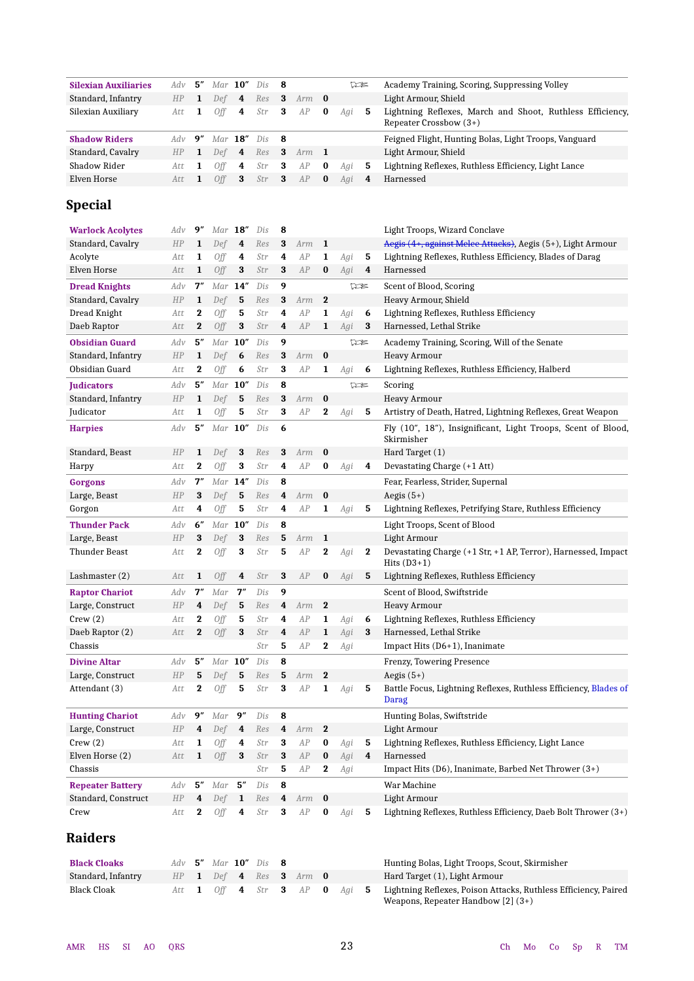| <b>Silexian Auxiliaries</b> | Adv | 5"           |            | Mar $10''$     | Dis | 8 |     |                  |     | 75  | Academy Training, Scoring, Suppressing Volley                                       |
|-----------------------------|-----|--------------|------------|----------------|-----|---|-----|------------------|-----|-----|-------------------------------------------------------------------------------------|
| Standard, Infantry          | HP  | 1            | Def        | 4              | Res | 3 | Arm | $\bf{0}$         |     |     | Light Armour, Shield                                                                |
| Silexian Auxiliary          | Att | 1            | Off        | 4              | Str | 3 | AP  | $\bf{0}$         | Agi | 5   | Lightning Reflexes, March and Shoot, Ruthless Efficiency,<br>Repeater Crossbow (3+) |
| <b>Shadow Riders</b>        | Adv | 9''          | Mar        | 18''           | Dis | 8 |     |                  |     |     | Feigned Flight, Hunting Bolas, Light Troops, Vanguard                               |
| Standard, Cavalry           | HP  | 1            | Def        | 4              | Res | 3 | Arm | $\mathbf{1}$     |     |     | Light Armour, Shield                                                                |
| Shadow Rider                | Att | 1            | Off        | 4              | Str | 3 | AP  | $\bf{0}$         | Agi | 5   | Lightning Reflexes, Ruthless Efficiency, Light Lance                                |
| Elven Horse                 | Att | 1            | Off        | 3              | Str | 3 | AP  | $\bf{0}$         | Agi | 4   | Harnessed                                                                           |
| <b>Special</b>              |     |              |            |                |     |   |     |                  |     |     |                                                                                     |
| <b>Warlock Acolytes</b>     | Adv | 9"           |            | $Mar$ 18"      | Dis | 8 |     |                  |     |     | Light Troops, Wizard Conclave                                                       |
| Standard, Cavalry           | HP  | 1            | Def        | 4              | Res | 3 | Arm | 1                |     |     | Aegis (4+, against Melee Attacks), Aegis (5+), Light Armour                         |
| Acolyte                     | Att | 1            | Off        | 4              | Str | 4 | AP  | 1                | Agi | 5   | Lightning Reflexes, Ruthless Efficiency, Blades of Darag                            |
| Elven Horse                 | Att | 1            | Off        | 3              | Str | 3 | AP  | $\bf{0}$         | Agi | 4   | Harnessed                                                                           |
| <b>Dread Knights</b>        | Adv | 7″           |            | $Mar$ $14"$    | Dis | 9 |     |                  |     | 75  | Scent of Blood, Scoring                                                             |
| Standard, Cavalry           | HP  | 1            | Def        | 5              | Res | 3 | Arm | $\mathbf 2$      |     |     | Heavy Armour, Shield                                                                |
| Dread Knight                | Att | $\bf{2}$     | Off        | 5              | Str | 4 | AP  | 1                | Agi | 6   | Lightning Reflexes, Ruthless Efficiency                                             |
| Daeb Raptor                 | Att | $\bf{2}$     | Off        | 3              | Str | 4 | AP  | 1                | Agi | 3   | Harnessed, Lethal Strike                                                            |
| <b>Obsidian Guard</b>       | Adv | 5''          |            | $Mar$ 10"      | Dis | 9 |     |                  |     | 12€ | Academy Training, Scoring, Will of the Senate                                       |
| Standard, Infantry          | HP  | $\mathbf{1}$ | Def        | 6              | Res | 3 | Arm | $\bf{0}$         |     |     | <b>Heavy Armour</b>                                                                 |
| Obsidian Guard              | Att | 2            | Off        | 6              | Str | 3 | AP  | 1                | Agi | 6   | Lightning Reflexes, Ruthless Efficiency, Halberd                                    |
|                             |     |              |            |                |     |   |     |                  |     |     |                                                                                     |
| <b>Iudicators</b>           | Adv | 5''          | Mar        | 10''           | Dis | 8 |     |                  |     | 75  | Scoring                                                                             |
| Standard, Infantry          | HP  | 1            | Def        | 5              | Res | 3 | Arm | $\bf{0}$         |     |     | <b>Heavy Armour</b>                                                                 |
| Judicator                   | Att | 1            | Off        | 5              | Str | 3 | AP  | 2                | Agi | 5   | Artistry of Death, Hatred, Lightning Reflexes, Great Weapon                         |
| <b>Harpies</b>              | Adv | 5''          |            | $Mar$ 10"      | Dis | 6 |     |                  |     |     | Fly (10", 18"), Insignificant, Light Troops, Scent of Blood,<br>Skirmisher          |
| Standard, Beast             | HP  | 1            | Def        | 3              | Res | 3 | Arm | $\bf{0}$         |     |     | Hard Target (1)                                                                     |
| Harpy                       | Att | $\bf{2}$     | <b>Off</b> | 3              | Str | 4 | AP  | $\bf{0}$         | Agi | 4   | Devastating Charge (+1 Att)                                                         |
| <b>Gorgons</b>              | Adv | 7″           |            | $Mar$ 14"      | Dis | 8 |     |                  |     |     | Fear, Fearless, Strider, Supernal                                                   |
| Large, Beast                | HP  | 3            | Def        | 5              | Res | 4 | Arm | $\bf{0}$         |     |     | Aegis $(5+)$                                                                        |
| Gorgon                      | Att | 4            | Off        | 5              | Str | 4 | AP  | 1                | Agi | 5   | Lightning Reflexes, Petrifying Stare, Ruthless Efficiency                           |
| <b>Thunder Pack</b>         | Adv | 6''          | Mar        | 10''           | Dis | 8 |     |                  |     |     | Light Troops, Scent of Blood                                                        |
| Large, Beast                | HP  | 3            | Def        | 3              | Res | 5 | Arm | $\mathbf{1}$     |     |     | Light Armour                                                                        |
| Thunder Beast               | Att | 2            | Off        | 3              | Str | 5 | AP  | $\bf{2}$         | Agi | 2   | Devastating Charge (+1 Str, +1 AP, Terror), Harnessed, Impact                       |
|                             |     |              |            |                |     |   |     |                  |     |     | Hits $(D3+1)$                                                                       |
| Lashmaster $(2)$            | Att | 1            | Off        | 4              | Str | 3 | AP  | $\bf{0}$         | Agi | 5   | Lightning Reflexes, Ruthless Efficiency                                             |
| <b>Raptor Chariot</b>       | Adv | 7''          | Mar        | 7''            | Dis | 9 |     |                  |     |     | Scent of Blood, Swiftstride                                                         |
| Large, Construct            | HP  | 4            | Def        | 5              | Res | 4 | Arm | $\mathbf 2$      |     |     | <b>Heavy Armour</b>                                                                 |
| Crew(2)                     | Att | 2            | Off        | 5              | Str | 4 | AP  | 1                | Agi | 6   | Lightning Reflexes, Ruthless Efficiency                                             |
| Daeb Raptor (2)             | Att | $\mathbf{2}$ | Off        | 3              | Str | 4 | AP  | $\mathbf{1}$     | Agi | 3   | Harnessed, Lethal Strike                                                            |
| Chassis                     |     |              |            |                | Str | 5 | AP  | $\mathbf{2}$     | Agi |     | Impact Hits (D6+1), Inanimate                                                       |
| <b>Divine Altar</b>         | Adv | 5''          | $Mar$ 10"  |                | Dis | 8 |     |                  |     |     | Frenzy, Towering Presence                                                           |
| Large, Construct            | HP  | 5            | Def        | 5              | Res | 5 | Arm | $\boldsymbol{2}$ |     |     | Aegis $(5+)$                                                                        |
| Attendant (3)               | Att | $\mathbf 2$  | Off        | 5              | Str | 3 | AP  | $\mathbf{1}$     | Agi | 5   | Battle Focus, Lightning Reflexes, Ruthless Efficiency, Blades of<br>Darag           |
| <b>Hunting Chariot</b>      | Adv | 9"           | Mar        | 9''            | Dis | 8 |     |                  |     |     | Hunting Bolas, Swiftstride                                                          |
| Large, Construct            | HP  | 4            | Def        | 4              | Res | 4 | Arm | $\bf{2}$         |     |     | Light Armour                                                                        |
| Crew(2)                     | Att | 1            | Off        | 4              | Str | 3 | AP  | $\bf{0}$         | Agi | 5   | Lightning Reflexes, Ruthless Efficiency, Light Lance                                |
| Elven Horse (2)             | Att | 1            | Off        | 3              | Str | 3 | AP  | $\bf{0}$         | Agi | 4   | Harnessed                                                                           |
| Chassis                     |     |              |            |                | Str | 5 | AP  | $\bf{2}$         | Agi |     | Impact Hits (D6), Inanimate, Barbed Net Thrower $(3+)$                              |
| <b>Repeater Battery</b>     | Adv | 5″           | Mar        | 5''            | Dis | 8 |     |                  |     |     | War Machine                                                                         |
| Standard, Construct         | HP  | 4            | Def        | 1              | Res | 4 | Arm | $\bf{0}$         |     |     | Light Armour                                                                        |
| Crew                        | Att | 2            | Off        | 4              | Str | 3 | AP  | $\bf{0}$         | Agi | 5   | Lightning Reflexes, Ruthless Efficiency, Daeb Bolt Thrower (3+)                     |
| <b>Raiders</b>              |     |              |            |                |     |   |     |                  |     |     |                                                                                     |
| <b>Black Cloaks</b>         | Adv | 5″           |            | Mar $10''$ Dis |     | 8 |     |                  |     |     | Hunting Bolas, Light Troops, Scout, Skirmisher                                      |
| Standard, Infantry          | HP  | 1            | Def        | 4              | Res | 3 | Arm | $\bf{0}$         |     |     | Hard Target (1), Light Armour                                                       |
| <b>Black Cloak</b>          | Att | 1            | <b>Off</b> | 4              | Str | 3 | AP  | $\bf{0}$         | Agi | 5   | Lightning Reflexes, Poison Attacks, Ruthless Efficiency, Paired                     |
|                             |     |              |            |                |     |   |     |                  |     |     | Weapons, Repeater Handbow [2] (3+)                                                  |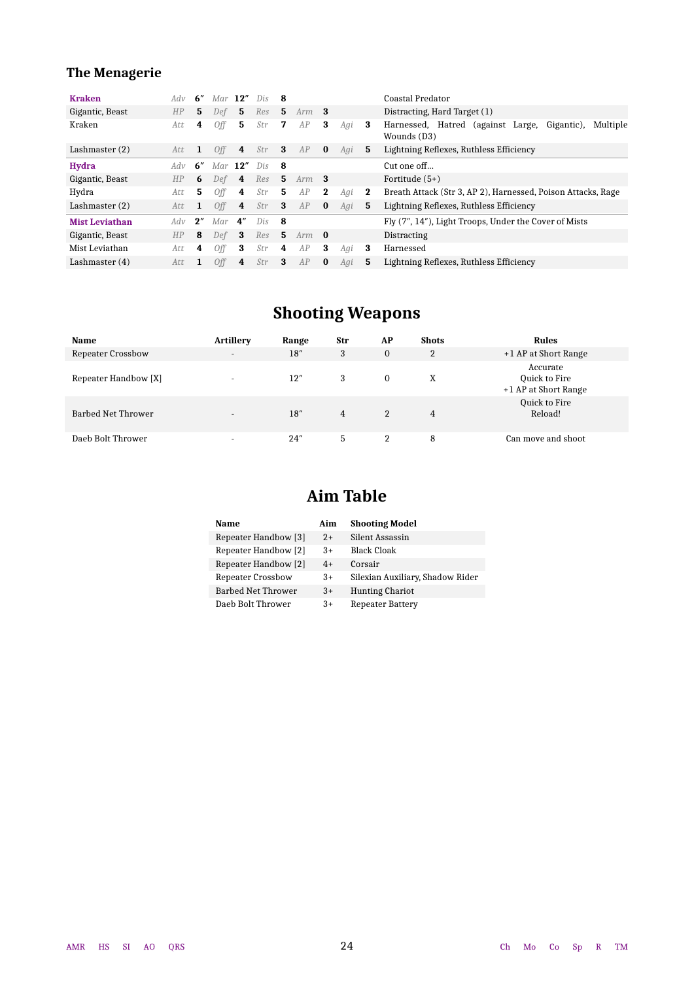### **The Menagerie**

| <b>Kraken</b>         | Adv  | 6" | $Mar$ 12"  |     | Dis | -8  |         |             |     |          | Coastal Predator                                                           |
|-----------------------|------|----|------------|-----|-----|-----|---------|-------------|-----|----------|----------------------------------------------------------------------------|
| Gigantic, Beast       | HP   | 5  | Def        | 5   | Res | 5.  | Arm     | - 3         |     |          | Distracting, Hard Target (1)                                               |
| Kraken                | Att  | 4  | 0ff        | 5   | Str | 7   | AP      | 3           | Agi | 3        | Gigantic),<br>Harnessed, Hatred (against Large,<br>Multiple<br>Wounds (D3) |
| Lashmaster $(2)$      | Att  | 1  | 0ff        | 4   | Str | 3   | AP      | $\bf{0}$    | Agi | 5        | Lightning Reflexes, Ruthless Efficiency                                    |
| <b>Hydra</b>          | Adv  | 6″ | Mar        | 12" | Dis | - 8 |         |             |     |          | Cut one off                                                                |
| Gigantic, Beast       | HP   | 6  | Def        | 4   | Res | 5.  | $Arm$ 3 |             |     |          | Fortitude $(5+)$                                                           |
| Hydra                 | Att  | 5. | 0ff        | 4   | Str | 5   | AP      | $\mathbf 2$ | Agi | $\bf{2}$ | Breath Attack (Str 3, AP 2), Harnessed, Poison Attacks, Rage               |
| Lashmaster $(2)$      | Att. | 1  | 0ff        | 4   | Str | 3   | AP      | $\bf{0}$    | Agi | 5        | Lightning Reflexes, Ruthless Efficiency                                    |
| <b>Mist Leviathan</b> | Adv  | 2" | Mar        | 4″  | Dis | - 8 |         |             |     |          | Fly (7", 14"), Light Troops, Under the Cover of Mists                      |
| Gigantic, Beast       | HP   | 8  | Def        | -3  | Res | 5   | $Arm$ 0 |             |     |          | Distracting                                                                |
| Mist Leviathan        | Att  | 4  | <b>Off</b> | 3   | Str | 4   | AP      | 3           | Agi | 3        | Harnessed                                                                  |
| Lashmaster $(4)$      | Att  | 1  | <b>Off</b> | 4   | Str | 3   | AP      | $\bf{0}$    | Agi | 5        | Lightning Reflexes, Ruthless Efficiency                                    |

## **Shooting Weapons**

| <b>Name</b>          | <b>Artillerv</b>         | Range | Str | AP             | <b>Shots</b>   | Rules                                             |
|----------------------|--------------------------|-------|-----|----------------|----------------|---------------------------------------------------|
| Repeater Crossbow    | $\overline{\phantom{a}}$ | 18"   | 3   | $\overline{0}$ | $\overline{2}$ | +1 AP at Short Range                              |
| Repeater Handbow [X] | ۰                        | 12"   | 3   | $\Omega$       | X              | Accurate<br>Quick to Fire<br>+1 AP at Short Range |
| Barbed Net Thrower   | -                        | 18"   | 4   | $\overline{2}$ | 4              | Quick to Fire<br>Reload!                          |
| Daeb Bolt Thrower    | ۰                        | 24''  | 5   | 2              | 8              | Can move and shoot                                |

## **Aim Table**

| Name                     | Aim  | <b>Shooting Model</b>            |
|--------------------------|------|----------------------------------|
| Repeater Handbow [3]     | $2+$ | Silent Assassin                  |
| Repeater Handbow [2]     | $3+$ | <b>Black Cloak</b>               |
| Repeater Handbow [2]     | $4+$ | Corsair                          |
| <b>Repeater Crossbow</b> | $3+$ | Silexian Auxiliary, Shadow Rider |
| Barbed Net Thrower       | $3+$ | <b>Hunting Chariot</b>           |
| Daeb Bolt Thrower        | $3+$ | <b>Repeater Battery</b>          |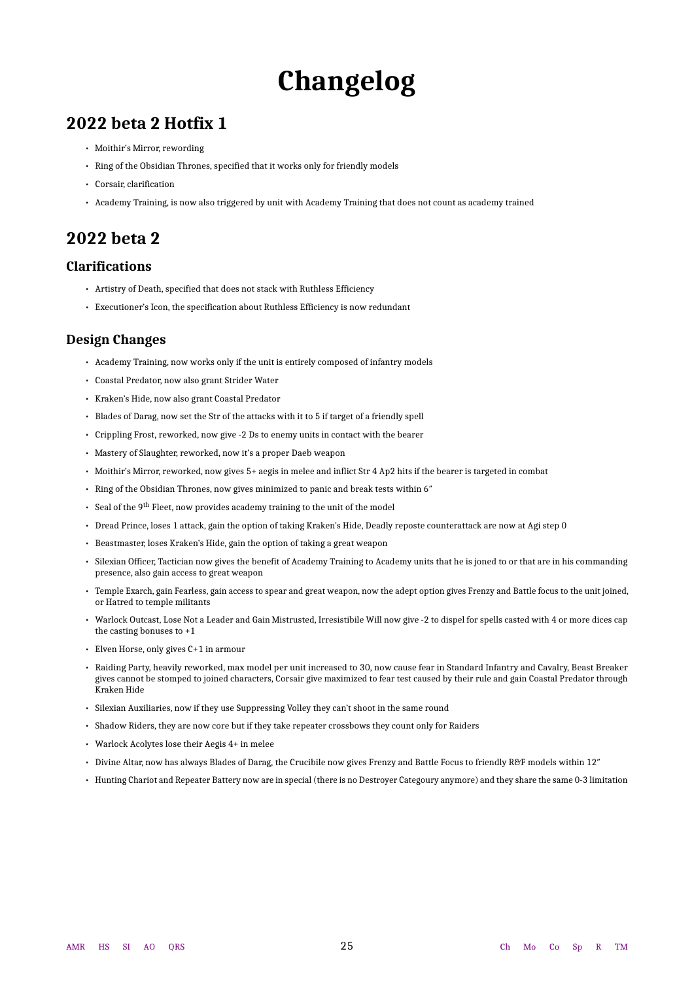# **Changelog**

### <span id="page-24-0"></span>**2022 beta 2 Hotfix 1**

- Moithir's Mirror, rewording
- Ring of the Obsidian Thrones, specified that it works only for friendly models
- Corsair, clarification
- Academy Training, is now also triggered by unit with Academy Training that does not count as academy trained

### **2022 beta 2**

### **Clarifications**

- Artistry of Death, specified that does not stack with Ruthless Efficiency
- Executioner's Icon, the specification about Ruthless Efficiency is now redundant

### **Design Changes**

- Academy Training, now works only if the unit is entirely composed of infantry models
- Coastal Predator, now also grant Strider Water
- Kraken's Hide, now also grant Coastal Predator
- Blades of Darag, now set the Str of the attacks with it to 5 if target of a friendly spell
- Crippling Frost, reworked, now give -2 Ds to enemy units in contact with the bearer
- Mastery of Slaughter, reworked, now it's a proper Daeb weapon
- Moithir's Mirror, reworked, now gives 5+ aegis in melee and inflict Str 4 Ap2 hits if the bearer is targeted in combat
- Ring of the Obsidian Thrones, now gives minimized to panic and break tests within 6″
- Seal of the 9<sup>th</sup> Fleet, now provides academy training to the unit of the model
- Dread Prince, loses 1 attack, gain the option of taking Kraken's Hide, Deadly reposte counterattack are now at Agi step 0
- Beastmaster, loses Kraken's Hide, gain the option of taking a great weapon
- Silexian Officer, Tactician now gives the benefit of Academy Training to Academy units that he is joned to or that are in his commanding presence, also gain access to great weapon
- Temple Exarch, gain Fearless, gain access to spear and great weapon, now the adept option gives Frenzy and Battle focus to the unit joined, or Hatred to temple militants
- Warlock Outcast, Lose Not a Leader and Gain Mistrusted, Irresistibile Will now give -2 to dispel for spells casted with 4 or more dices cap the casting bonuses to +1
- Elven Horse, only gives C+1 in armour
- Raiding Party, heavily reworked, max model per unit increased to 30, now cause fear in Standard Infantry and Cavalry, Beast Breaker gives cannot be stomped to joined characters, Corsair give maximized to fear test caused by their rule and gain Coastal Predator through Kraken Hide
- Silexian Auxiliaries, now if they use Suppressing Volley they can't shoot in the same round
- Shadow Riders, they are now core but if they take repeater crossbows they count only for Raiders
- Warlock Acolytes lose their Aegis 4+ in melee
- Divine Altar, now has always Blades of Darag, the Crucibile now gives Frenzy and Battle Focus to friendly R&F models within 12″
- Hunting Chariot and Repeater Battery now are in special (there is no Destroyer Categoury anymore) and they share the same 0-3 limitation